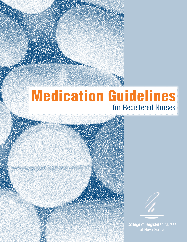# Medication Guidelines for Registered Nurses



Medication Guidelines for Registered Nurses College of Registered Nurses of Nova Scotia 1 College of Registered Nurses of Nova Scotia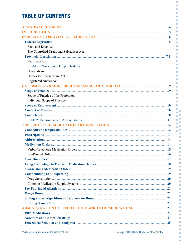# **TABLE OF CONTENTS**

| Food and Drug Act                                                                                                                                                                                                              |  |
|--------------------------------------------------------------------------------------------------------------------------------------------------------------------------------------------------------------------------------|--|
| The Controlled Drugs and Substances Act                                                                                                                                                                                        |  |
|                                                                                                                                                                                                                                |  |
| Pharmacy Act                                                                                                                                                                                                                   |  |
| Table 1: Nova Scotia Drug Schedules                                                                                                                                                                                            |  |
| Hospitals Act                                                                                                                                                                                                                  |  |
| Homes for Special Care Act                                                                                                                                                                                                     |  |
| <b>Registered Nurses Act</b>                                                                                                                                                                                                   |  |
|                                                                                                                                                                                                                                |  |
|                                                                                                                                                                                                                                |  |
| Scope of Practice of the Profession                                                                                                                                                                                            |  |
| Individual Scope of Practice                                                                                                                                                                                                   |  |
|                                                                                                                                                                                                                                |  |
|                                                                                                                                                                                                                                |  |
|                                                                                                                                                                                                                                |  |
|                                                                                                                                                                                                                                |  |
|                                                                                                                                                                                                                                |  |
|                                                                                                                                                                                                                                |  |
|                                                                                                                                                                                                                                |  |
|                                                                                                                                                                                                                                |  |
|                                                                                                                                                                                                                                |  |
|                                                                                                                                                                                                                                |  |
|                                                                                                                                                                                                                                |  |
|                                                                                                                                                                                                                                |  |
|                                                                                                                                                                                                                                |  |
|                                                                                                                                                                                                                                |  |
|                                                                                                                                                                                                                                |  |
|                                                                                                                                                                                                                                |  |
|                                                                                                                                                                                                                                |  |
|                                                                                                                                                                                                                                |  |
|                                                                                                                                                                                                                                |  |
|                                                                                                                                                                                                                                |  |
|                                                                                                                                                                                                                                |  |
|                                                                                                                                                                                                                                |  |
|                                                                                                                                                                                                                                |  |
|                                                                                                                                                                                                                                |  |
| Procedural Sedation and Analgesia manufactured and analysis of the state of the state of the state of the state of the state of the state of the state of the state of the state of the state of the state of the state of the |  |

 $\bullet$ 

 $\bullet$  $\bullet$  $\blacksquare$ 

 $\bullet$  $\bullet$  $\bullet$  $\bullet$ 

 $\bullet$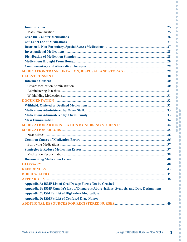| <b>Appendix A: ISMP List of Oral Dosage Forms Not be Crushed</b>                          |  |
|-------------------------------------------------------------------------------------------|--|
| Appendix B: ISMP Canada's List of Dangerous Abbreviations, Symbols, and Dose Designations |  |
| <b>Appendix C: ISMP's List of High-Alert Medications</b>                                  |  |
| <b>Appendix D: ISMP's List of Confused Drug Names</b>                                     |  |
|                                                                                           |  |

 $\bullet$  $\ddot{\bullet}$  $\bullet$  $\bullet$  $\bullet$ 

 $\bullet$  $\bullet$  $\blacksquare$ 

 $\bullet$  $\bullet$  $\bullet$  $\bullet$  $\bullet$  $\overline{\phantom{a}}$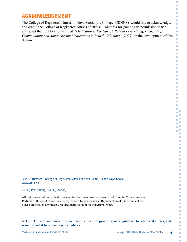# ACKNOWLEDGEMENT

The College of Registered Nurses of Nova Scotia (the College: CRNNS) would like to acknowledge, and credit, the College of Registered Nurses of British Columbia for granting us permission to use and adapt their publication entitled *"Medications: The Nurse's Role in Prescribing, Dispensing, Compounding and Administering Medications in British Columbia"* (2009), in the development of this document.

© 2015 (Revised), College of Registered Nurses of Nova Scotia, Halifax, Nova Scotia www.crnns.ca

#### 2011 (First Printing), 2014 (Revised)

All rights reserved. Individual copies of this document may be downloaded from the College website. Portions of this publication may be reproduced for personal use. Reproduction of this document for other purposes, by any means, requires permission of the copyright owner.

#### **NOTE: The information in this document is meant to provide general guidance to registered nurses, and is not intended to replace agency policies.**

Ċ  $\bullet$ O Ċ  $\overline{\phantom{a}}$  $\bullet$ Ċ Ò  $\bullet$  $\bullet$ Ċ  $\bullet$  $\sqrt{2}$  $\bullet$  $\bullet$ Ö Ō C  $\bullet$ Ō O Ō Ō  $\overline{a}$ Ō  $\overline{\phantom{0}}$ C Ċ  $\bullet$ Ō Ċ  $\bullet$  $\bullet$  $\bullet$ Ċ ö Ċ  $\bullet$ Ō  $\bullet$ C  $\bullet$  $\overline{\phantom{a}}$  $\triangle$  $\bullet$  $\blacksquare$ ö  $\bullet$  $\bullet$  $\bullet$  $\overline{\phantom{a}}$  $\overline{a}$  $\bullet$  $\bullet$  $\bullet$  $\triangle$  $\bullet$  $\bullet$  $\overline{\phantom{a}}$  $\bullet$  $\bullet$  $\bullet$  $\bullet$  $\bullet$  $\bullet$  $\bullet$  $\bullet$  $\bullet$  $\bullet$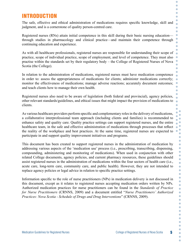# INTRODUCTION

The safe, effective and ethical administration of medications requires specific knowledge, skill and judgment, and is a cornerstone of quality person-centred care.

Registered nurses (RNs) attain initial competence in this skill during their basic nursing education through studies in pharmacology and clinical practice—and maintain their competence through continuing education and experience.

As with all healthcare professionals, registered nurses are responsible for understanding their scope of practice, scope of individual practice, scope of employment, and level of competence. They must also practise within the standards set by their regulatory body – the College of Registered Nurses of Nova Scotia (the College).

In relation to the administration of medications, registered nurses must have medication competence in order to: assess the appropriateness of medications for clients; administer medications correctly; monitor the effectiveness of medications; manage adverse reactions; accurately document outcomes; and teach clients how to manage their own health.

Registered nurses also need to be aware of legislation (both federal and provincial), agency policies, other relevant standards/guidelines, and ethical issues that might impact the provision of medications to clients.

As various healthcare providers perform specific and complementary roles in the delivery of medications, a collaborative interprofessional team approach (including clients and families) is recommended to enhance safety and quality care. Quality practice settings can support registered nurses, and the entire healthcare team, in the safe and effective administration of medications through processes that reflect the reality of the workplace and best practices. At the same time, registered nurses are expected to participate in and support quality improvement initiatives and programs.

This document has been created to support registered nurses in the administration of medication by addressing various aspects of the 'medication use' process (i.e., prescribing, transcribing, dispensing, compounding, administering and monitoring of medications). When used in conjunction with other related College documents, agency policies, and current pharmacy resources, these guidelines should assist registered nurses in the administration of medications within the four sectors of health care (i.e., acute care, long-term care, community care, and public health). However, they are not intended to replace agency policies or legal advice in relation to specific practice settings.

Information specific to the role of nurse practitioners (NPs) in medication delivery is not discussed in this document, except as it relates to registered nurses accepting medication orders written by NPs. Authorized medication practices for nurse practitioners can be found in the *Standards of Practice for Nurse Practitioners* (CRNNS, 2009) and a document entitled "*Nurse Practitioners' Authorized Practices: Nova Scotia - Schedule of Drugs and Drug Interventions*" (CRNNS, 2009).

Ċ O O Ċ C

Ċ Ċ  $\overline{\phantom{0}}$ 

 $\bullet$  $\bullet$ 

Ō  $\bullet$  $\bullet$ 

Ó  $\bullet$  $\bullet$  $\bullet$  $\bullet$ 

 $\bullet$ Ō

> ä Ŏ  $\bullet$ ó  $\bullet$  $\bullet$  $\bullet$  $\bullet$  $\bullet$ ö Ċ  $\bullet$  $\bullet$  $\bullet$  $\bullet$  $\bullet$ Ċ Ċ C  $\bullet$  $\bullet$  $\bullet$ Ċ  $\bullet$  $\bullet$ Ċ  $\bullet$  $\bullet$  $\bullet$ Ċ  $\bullet$  $\bullet$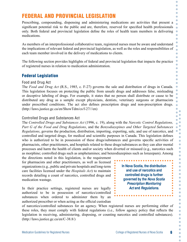# FEDERAL AND PROVINCIAL LEGISLATION

Prescribing, compounding, dispensing and administering medications are activities that present a significant potential risk to the public and are, therefore, reserved for specified health professionals only. Both federal and provincial legislation define the roles of health team members in delivering medications.

As members of an interprofessional collaborative team, registered nurses must be aware and understand the implications of relevant federal and provincial legislation, as well as the roles and responsibilities of each team member involved in the delivery of medications to clients.

The following section provides highlights of federal and provincial legislation that impacts the practice of registered nurses in relation to medication administration.

#### Federal Legislation

#### Food and Drug Act

The *Food and Drug Act* (R.S., 1985, c. F-27) governs the sale and distribution of drugs in Canada. This legislation focuses on protecting the public from unsafe drugs and addresses false, misleading or deceptive labeling of drugs. For example, it states that no person shall distribute or cause to be distributed any drug as a sample except physicians, dentists, veterinary surgeons or pharmacists under prescribed conditions. The act also defines prescription drugs and non-prescription drugs. (http://laws.justice.gc.ca/en/ShowTdm/cs/f-27///en)

#### Controlled Drugs and Substances Act

The *Controlled Drugs and Substances Act* (1996, c. 19), along with the *Narcotic Control Regulations, Part G of the Food and Drug Regulations*, and the *Benzodiazepines and Other Targeted Substances Regulations*, governs the production, distribution, importing, exporting, sale, and use of narcotics, and controlled and targeted drugs, for medical and scientific purposes in Canada. This legislation defines who is authorized to be in possession of these drugs/substances and governs specific activities of pharmacists, other practitioners, and hospitals related to these drugs/substances as they can alter mental processes and harm the health of clients and/or society when diverted or misused (e.g., narcotics such as morphine; controlled drugs such as amphetamines; and benzodiazepines such as lorazepam). Among

the directions noted in this legislation, is the requirement for pharmacists and other practitioners, as well as licensed organizations (e.g., public and private hospitals and long-term care facilities licensed under the *Hospitals Act*) to maintain records detailing a count of narcotics, controlled drugs and medication wastage.

In their practice settings, registered nurses are legally authorized to be in possession of narcotics/controlled substances when ordered to administer them by an authorized prescriber or when acting as the official custodian **In Nova Scotia, the distribution and use of narcotics and controlled drugs is further governed by the** *Nova Scotia Prescription Monitoring Act* **and** *Regulations***.**

O O Ċ C

Ŏ Ċ  $\bullet$ Ō

Ċ Ċ Ō ó Ċ Ō Ò Ō Ō

> Ō  $\bullet$ Ō ä

> > Ŏ C Ō ö Ċ  $\bullet$ O Ċ Ċ  $\bullet$ Ċ  $\bullet$

 $\bullet$ 

 $\bullet$  $\bullet$ 

 $\bullet$ 

 $\bullet$ 

۵  $\bullet$   $\overline{a}$ 

Ċ

C  $\bullet$  $\bullet$ 

 $\bullet$ 

 $\bullet$  $\overline{\phantom{a}}$ Ċ  $\bullet$  $\bullet$ Ċ  $\bullet$  $\bullet$  $\bullet$  $\bullet$  $\bullet$  $\bullet$ 

of narcotics/controlled substances for an agency. When registered nurses are performing either of these roles, they must comply with federal regulations (i.e., follow agency policy that reflects the legislation in receiving, administering, disposing, or counting narcotics and controlled substances). (http://laws.justice.gc.ca/en/C-38.8/)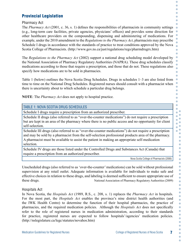### Provincial Legislation

Pharmacy Act

The *Pharmacy Act* (2001, c. 36, s. 1) defines the responsibilities of pharmacists in community settings (e.g., long-term care facilities, private agencies, physicians' offices) and provides some direction for other healthcare providers on the compounding, dispensing and administering of medications. For example, under the 2010 amendment to the *Regulations to the Pharmacy Act*, pharmacists may prescribe Schedule I drugs in accordance with the standards of practice to treat conditions approved by the Nova Scotia College of Pharmacists. (http://www.gov.ns.ca/just/regulations/regs/pharmdrugrx.htm)

The *Regulations to the Pharmacy Act* (2002) support a national drug scheduling model developed by the National Association of Pharmacy Regulatory Authorities (NAPRA). These drug schedules classify medications according to those that require a prescription, and those that do not. These regulations also specify how medications are to be sold in pharmacies.

Table 1 (below) outlines the Nova Scotia Drug Schedules. Drugs in schedules 1–3 are also listed from time to time on the National Drug Schedules. Registered nurses should consult with a pharmacist when there is uncertainty about to which schedule a particular drug belongs.

**NOTE**: The *Pharmacy Act* does not apply to hospital practice.

#### TABLE 1: NOVA SCOTIA DRUG SCHEDULES

Schedule I drugs require a prescription from an authorized prescriber.

Schedule II drugs (also referred to as "over-the-counter medications") do not require a prescription but are kept in an area of the pharmacy where there is no public access and no opportunity for client self-selection.

Schedule III drugs (also referred to as "over-the-counter medications") do not require a prescription and may be sold by a pharmacist from the self-selection professional products area of the pharmacy. A pharmacist must be available to assist the patient in making an appropriate self-medication selection.

Schedule IV drugs are those listed under the Controlled Drugs and Substances Act (Canada) that require a prescription from an authorized prescriber.

Nova Scotia College of Pharmacists (2006)

O C

Ċ O

Ċ ö Ċ  $\bullet$ 

 $\bullet$ Ċ

 $\bullet$ ä  $\bullet$  $\bullet$ C Ċ  $\bullet$  $\bullet$ Ö  $\bullet$ Ō  $\ddot{\bullet}$ Ō  $\bullet$ Ċ  $\bullet$ Ō  $\bullet$ ò  $\bullet$ Ō Ċ  $\bullet$  $\bullet$  $\bullet$ ö  $\bullet$  $\bullet$ Ċ  $\bullet$  $\bullet$ Ċ  $\bullet$  $\bullet$  $\bullet$  $\bullet$  $\bullet$ Ċ Ċ  $\bullet$  $\bullet$  $\bullet$  $\bullet$  $\bullet$  $\bullet$  $\bullet$  $\bullet$  $\bullet$ 

Unscheduled drugs (also referred to as 'over-the-counter' medications) can be sold without professional supervision at any retail outlet. Adequate information is available for individuals to make safe and effective choices in relation to these drugs, and labeling is deemed sufficient to ensure appropriate use of these drugs. National Association of Pharmacy Regulatory Authorities (2009)

#### Hospitals Act

In Nova Scotia, the *Hospitals Act* (1989, R.S., c. 208, s. 1) replaces the *Pharmacy Act* in hospitals. For the most part, the *Hospitals Act* enables the province's nine district health authorities (and the IWK Health Centre) to determine the function of their hospital pharmacies, the practice of pharmacies, and the required medication policies. Although the *Hospitals Act* does not specifically refer to the role of registered nurses in medication administration, according to their standards for practice, registered nurses are expected to follow hospitals'/agencies' medication policies. (http://nslegislature.ca/legc/statutes/novahos.htm)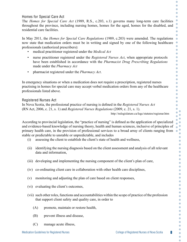#### Homes for Special Care Act

The *Homes for Special Care Act* (1989, R.S., c.203, s.1) governs many long-term care facilities throughout the province, including nursing homes, homes for the aged, homes for the disabled, and residential care facilities.

In May 2011, the *Homes for Special Care Regulations* (1989, c.203) were amended. The regulations now state that medication orders must be in writing and signed by one of the following healthcare professionals (authorized prescribers):

- medical practitioner registered under the *Medical Act*
- nurse practitioner registered under the *Registered Nurses Act*, when appropriate protocols have been established in accordance with the *Pharmacist Drug Prescribing Regulations*  made under the *Pharmacy Act*
- pharmacist registered under the *Pharmacy Act*.

In emergency situations or when a medication does not require a prescription, registered nurses practising in homes for special care may accept verbal medication orders from any of the healthcare professionals listed above.

#### Registered Nurses Act

In Nova Scotia, the professional practice of nursing is defined in the *Registered Nurses Act*  (RN Act, 2006, c. 21, s. 1) and *Registered Nurses Regulations* (2009, c. 21, s. 1).

http://nslegislature.ca/legc/statutes/regisnur.htm

O O O Ċ C  $\bullet$ 

Ċ  $\bullet$  $\bullet$  $\overline{\phantom{0}}$ C  $\bullet$  $\bullet$  $\bullet$ Ō C  $\bullet$  $\bullet$  $\bullet$  $\bullet$  $\bullet$  $\bullet$  $\bullet$  $\bullet$  $\Box$  $\bullet$  $\bullet$ Ō  $\bullet$ ò  $\bullet$ ö Ŏ  $\bullet$ C  $\bullet$  $\bullet$  $\overline{a}$  $\bullet$  $\bullet$ ö  $\bullet$  $\bullet$ Ċ  $\overline{\phantom{a}}$ ó C C  $\bullet$  $\bullet$  $\bullet$  $\bullet$ O  $\bullet$  $\bullet$  $\bullet$  $\bullet$  $\bullet$  $\bullet$  $\bullet$  $\bullet$  $\bullet$  $\bullet$ 

According to provincial legislation, the "practice of nursing" is defined as the application of specialized and evidence-based knowledge of nursing theory, health and human sciences, inclusive of principles of primary health care, in the provision of professional services to a broad array of clients ranging from stable or predictable to unstable or unpredictable, and includes

- (i) assessing the client to establish the client's state of health and wellness,
- (ii) identifying the nursing diagnosis based on the client assessment and analysis of all relevant data and information,
- (iii) developing and implementing the nursing component of the client's plan of care,
- (iv) co-ordinating client care in collaboration with other health care disciplines,
- (v) monitoring and adjusting the plan of care based on client responses,
- (vi) evaluating the client's outcomes,
- (vii) such other roles, functions and accountabilities within the scope of practice of the profession that support client safety and quality care, in order to
	- (A) promote, maintain or restore health,
	- (B) prevent illness and disease,
	- (C) manage acute illness,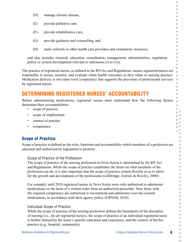- (D) manage chronic disease,
- (E) provide palliative care,
- (F) provide rehabilitative care,
- (G) provide guidance and counselling, and
- (H) make referrals to other health care providers and community resources,

and also includes research, education, consultation, management, administration, regulation, policy or system development relevant to subclauses (i) to (vii).

The practice of registered nurses, as defined in the RN Act and Regulations, means registered nurses are responsible to assess, monitor, and evaluate client health outcomes as they relate to nursing practice. Medication delivery is one entry-level competency that supports the provision of professional services by registered nurses.

# DETERMINING REGISTERED NURSES' ACCOUNTABILITY

Before administering medications, registered nurses must understand how the following factors determine their accountabilities:

- scope of practice
- scope of employment
- context of practice
- competence.

# Scope of Practice

Scope of practice is defined as the roles, functions and accountability which members of a profession are educated and authorized by legislation to perform.

#### Scope of Practice of the Profession

The scope of practice of the nursing profession in Nova Scotia is determined by the RN Act and Regulations. While the scope of practice establishes the limits on what members of the profession can do, it is also important that the scope of practice remain flexible so as to allow for the growth and development of the professions (Lillibridge, Axford, & Rowley, 2000).

For example, until 2010 registered nurses in Nova Scotia were only authorized to administer medications on the basis of a written order from an authorized prescriber. Now those with the required competency are authorized to recommend and administer over-the-counter medications, in accordance with their agency policy (CRNNS, 2010).

#### Individual Scope of Practice

While the scope of practice of the nursing profession defines the boundaries of the discipline of nursing (i.e., for all registered nurses), the scope of practice of an individual registered nurse is further defined by the nurse's specific education and experience, and the context of her/his practice (e.g., hospital, community).

C O O

O Ò Ō C Ċ  $\bullet$ Ō Ō  $\bullet$ ö Ċ  $\bullet$ Ō Ċ Ċ

 $\bullet$  $\bullet$  $\bullet$  $\bullet$  $\bullet$ 

 $\bullet$  $\bullet$ Ō  $\bullet$ Ċ

> G  $\overline{\phantom{a}}$  $\overline{\phantom{a}}$ ó  $\bullet$  $\bullet$ ö  $\bullet$  $\bullet$ Ċ  $\overline{\phantom{a}}$ ò C C Ċ ó ó  $\bullet$ O Ċ  $\bullet$  $\bullet$  $\bullet$  $\bullet$  $\bullet$  $\bullet$ Ċ  $\bullet$  $\bullet$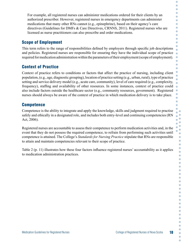For example, all registered nurses can administer medications ordered for their clients by an authorized prescriber. However, registered nurses in emergency departments can administer medications that many other RNs cannot (e.g., epinephrine), based on their agency's care directives (Guidelines for DMFs & Care Directives, CRNNS, 2011). Registered nurses who are licensed as nurse practitioners can also prescribe and order medications.

#### Scope of Employment

This term refers to the range of responsibilities defined by employers through specific job descriptions and policies. Registered nurses are responsible for ensuring they have the individual scope of practice required for medication administration within the parameters of their employment (scope of employment).

# Context of Practice

Context of practice refers to conditions or factors that affect the practice of nursing, including client population, (e.g., age, diagnostic grouping), location of practice setting (e.g., urban, rural), type of practice setting and service delivery model (e.g., acute care, community), level of care required (e.g., complexity, frequency), staffing and availability of other resources. In some instances, context of practice could also include factors outside the healthcare sector (e.g., community resources, government). Registered nurses should always be aware of the context of practice in which medication delivery is to take place.

### **Competence**

Competence is the ability to integrate and apply the knowledge, skills and judgment required to practise safely and ethically in a designated role, and includes both entry-level and continuing competencies (RN Act, 2006).

Registered nurses are accountable to assess their competence to perform medication activities and, in the event that they do not possess the required competence, to refrain from performing such activities until competence is attained. The College's *Standards for Nursing Practice* stipulate that RNs are responsible to attain and maintain competencies relevant to their scope of practice.

Table 2 (p. 11) illustrates how these four factors influence registered nurses' accountability as it applies to medication administration practices.

Ċ  $\bullet$ O Ċ C  $\bullet$  $\bullet$ C Ċ Ċ Ċ  $\bullet$ 

 $\bullet$ Ō  $\bullet$  $\bullet$ Ō

 $\bullet$ 

C  $\bullet$  $\bullet$ 

ö Ċ Ŏ Ċ  $\bullet$  $\bullet$  $\bullet$  $\bullet$  $\bullet$  $\bullet$  $\bullet$  $\bullet$ ö  $\bullet$  $\bullet$ Ċ  $\bullet$ ó C  $\bullet$  $\bullet$ ó ó Ċ O O  $\bullet$  $\bullet$  $\bullet$  $\bullet$  $\bullet$  $\bullet$ Ċ

C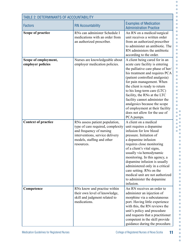| <b>TABLE 2: DETERMINANTS OF ACCOUNTABILITY</b> |                                                                                                                                                                                |                                                                                                                                                                                                                                                                                                                                                                                                                                                             |  |  |
|------------------------------------------------|--------------------------------------------------------------------------------------------------------------------------------------------------------------------------------|-------------------------------------------------------------------------------------------------------------------------------------------------------------------------------------------------------------------------------------------------------------------------------------------------------------------------------------------------------------------------------------------------------------------------------------------------------------|--|--|
| <b>Factors</b>                                 | <b>RN Accountability</b>                                                                                                                                                       | <b>Examples of Medication</b><br><b>Administration Practice</b>                                                                                                                                                                                                                                                                                                                                                                                             |  |  |
| Scope of practice                              | RNs can administer Schedule I<br>medications with an order from<br>an authorized prescriber.                                                                                   | An RN on a medical/surgical<br>unit receives a written order<br>from an authorized prescriber<br>to administer an antibiotic. The<br>RN administers the antibiotic<br>according to the order.                                                                                                                                                                                                                                                               |  |  |
| Scope of employment,<br>employer policies      | Nurses are knowledgeable about<br>employer medication policies.                                                                                                                | A client being cared for in an<br>acute care facility is entering<br>the palliative care phase of her/<br>his treatment and requires PCA<br>(patient controlled analgesia)<br>for pain management. When<br>the client is ready to return<br>to his long-term care (LTC)<br>facility, the RNs at the LTC<br>facility cannot administer the<br>analgesics because the scope<br>of employment at their facility<br>does not allow for the use of<br>PCA pumps. |  |  |
| <b>Context of practice</b>                     | RNs assess patient population,<br>type of care required, complexity<br>and frequency of nursing<br>interventions, service delivery<br>models, staffing and other<br>resources. | A client on a medical<br>unit requires a dopamine<br>infusion for low blood<br>pressure. Initiation of<br>a dopamine infusion<br>requires close monitoring<br>of a client's vital signs,<br>usually via hemodynamic<br>monitoring. In this agency, a<br>dopamine infusion is usually<br>administered only in a critical<br>care setting. RNs on the<br>medical unit are not authorized<br>to administer the dopamine<br>infusion.                           |  |  |
| Competence                                     | RNs know and practise within<br>their own level of knowledge,<br>skill and judgment related to<br>medications.                                                                 | An RN receives an order to<br>administer an injection of<br>morphine via a subcutaneous<br>port. Having little experience<br>with this, the RN reviews the<br>unit's policy and procedure<br>and requests that a practitioner<br>competent in the skill provide<br>guidance during the procedure.                                                                                                                                                           |  |  |

 $\bullet$  $\bullet$  $\bullet$ 

> $\bullet$  $\bullet$  $\bullet$  $\bullet$  $\bullet$  $\bullet$  $\bullet$  $\bullet$  $\bullet$  $\bullet$  $\bullet$  $\bullet$  $\bullet$  $\bullet$  $\bullet$  $\bullet$  $\bullet$  $\bullet$  $\bullet$  $\bullet$  $\bullet$  $\bullet$  $\bullet$  $\bullet$  $\bullet$  $\bullet$  $\bullet$  $\bullet$  $\blacksquare$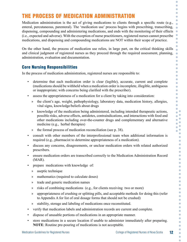# THE PROCESS OF MEDICATION ADMINISTRATION

Medication administration is the act of giving medications to clients through a specific route (e.g., enteral, percutaneous, parenteral). The 'medication use' process begins with prescribing, transcribing, dispensing, compounding and administering medications, and ends with the monitoring of their effects (i.e., expected and adverse). With the exception of nurse practitioners, registered nurses cannot prescribe medications, and dispensing and compounding medications are NOT within their scope of practice.

On the other hand, the process of medication use relies, in large part, on the critical thinking skills and clinical judgment of registered nurses as they proceed through the required assessment, planning, administration, evaluation and documentation.

#### Core Nursing Responsibilities

In the process of medication administration, registered nurses are responsible to:

- determine that each medication order is clear (legible), accurate, current and complete (medications should be withheld when a medication order is incomplete, illegible, ambiguous or inappropriate; with concerns being clarified with the prescriber).
- assess the appropriateness of a medication for a client by taking into consideration:
	- » the client's age, weight, pathophysiology, laboratory data, medication history, allergies, vital signs, knowledge/beliefs about drugs
	- » knowledge of the medication being administered, including intended therapeutic actions, possible risks, adverse effects, antidotes, contraindications, and interactions with food and other medications including over-the-counter drugs and complementary and alternative medicine (e.g., herbal therapies)
	- » the formal process of medication reconciliation (see p. 38).
- consult with other members of the interprofessional team when additional information is required (e.g., pharmacist to determine appropriateness of a medication).
- discuss any concerns, disagreements, or unclear medication orders with related authorized prescribers.
- ensure medication orders are transcribed correctly to the Medication Administration Record (MAR).
- prepare medications with knowledge of:
	- » aseptic technique
	- » mathematics (required to calculate doses)
	- » trade and generic medication names
	- » risks of combining medications (e.g., for clients receiving two or more)
	- » appropriateness of crushing or splitting pills, and acceptable methods for doing this (refer to Appendix A for list of oral dosage forms that should not be crushed)
	- » stability, storage and labeling of medications once reconstituted.
- verify that medication labels and administration records are current and complete.
- dispose of unusable portions of medications in an appropriate manner.
- store medications in a secure location if unable to administer immediately after preparing. **NOTE**: Routine pre-pouring of medications is not acceptable.

O O

C

ò Ċ  $\bullet$ 

O  $\bullet$ C Ä ò Ċ  $\bullet$ Ċ  $\bullet$  $\bullet$ Ċ Ō  $\bullet$ ò  $\bullet$  $\bullet$  $\Box$  $\bullet$  $\bullet$  $\bullet$ C  $\bullet$  $\bullet$  $\bullet$ ö Ċ  $\bullet$  $\bullet$  $\bullet$  $\bullet$  $\bullet$ C Ō  $\bullet$ ó  $\bullet$  $\bullet$ Ċ  $\bullet$  $\bullet$ Ċ  $\overline{\phantom{a}}$ ó C C Ċ ó  $\bullet$  $\bullet$  $\overline{\phantom{a}}$ Ċ  $\bullet$  $\bullet$ Ċ  $\bullet$  $\bullet$  $\bullet$ ó  $\bullet$  $\bullet$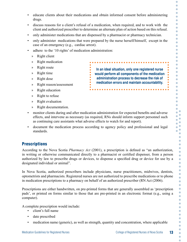$\bullet$  $\bullet$ Ċ Ò  $\overline{\phantom{0}}$  $\bullet$  $\Box$ Ċ  $\bullet$  $\bullet$  $\bullet$  $\Box$ ö  $\bullet$  $\bullet$ Ō Ċ **In an ideal situation, only one registered nurse**   $\bullet$  $\bullet$ **would perform all components of the medication**  Ċ **administration process to decrease the risk of**   $\bullet$ **medication errors and maintain accountability.** $\bullet$  $\bullet$  $\bullet$  $\bullet$  $\Box$  $\overline{\phantom{0}}$  $\bullet$  $\bullet$  $\bullet$ Ŏ  $\bullet$ ö Ċ Ŏ  $\bullet$  $\bullet$  $\bullet$  $\bullet$  $\bullet$  $\bullet$  $\bullet$ ó  $\bullet$  $\bullet$ ö  $\bullet$  $\bullet$  $\bullet$  $\bullet$  $\bullet$  $\bullet$  $\bullet$  $\bullet$  $\bullet$  $\bullet$  $\bullet$ Ō  $\bullet$  $\bullet$  $\bullet$  $\bullet$  $\bullet$  $\bullet$  $\bullet$  $\bullet$ 

> $\bullet$  $\bullet$

Ċ

- educate clients about their medications and obtain informed consent before administering drugs.
- discuss reasons for a client's refusal of a medication, when required, and to work with the client and authorized prescriber to determine an alternate plan of action based on this refusal.
- only administer medications that are dispensed by a pharmacist or pharmacy technician.
- only administer medications that were prepared by the nurse herself/himself, except in the case of an emergency (e.g., cardiac arrest).
- adhere to the '10 rights' of medication administration:
	- » Right client
	- » Right medication
	- » Right route
	- » Right time
	- » Right dose
	- » Right reason/assessment
	- » Right education
	- » Right to refuse
	- » Right evaluation
	- » Right documentation.
- monitor clients during and after medication administration for expected benefits and adverse effects, and intervene as necessary (as required, RNs should inform support personnel such as continuing care assistants what adverse effects to watch for and report).
- document the medication process according to agency policy and professional and legal standards.

### **Prescriptions**

According to the Nova Scotia *Pharmacy Act* (2001), a prescription is defined as "an authorization, in writing or otherwise communicated directly to a pharmacist or certified dispenser, from a person authorized by law to prescribe drugs or devices, to dispense a specified drug or device for use by a designated individual or animal".

In Nova Scotia, authorized prescribers include physicians, nurse practitioners, midwives, dentists, optometrists and pharmacists. Registered nurses are not authorized to prescribe medications or to phone in medication prescriptions to a pharmacy on behalf of an authorized prescriber (RN Act (2006).

Prescriptions are either handwritten, on pre-printed forms that are generally assembled as 'prescription pads', or printed on forms similar to those that are pre-printed in an electronic format (e.g., using a computer).

A complete prescription would include:

- client's full name
- date prescribed
- medication name (generic), as well as strength, quantity and concentration, where applicable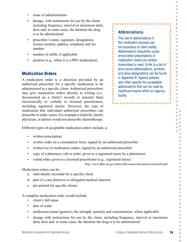- route of administration
- dosage, with instructions for use by the client, including frequency, interval or maximum daily dose and, in some cases, the duration the drug is to be administered
- prescriber's name, signature, designation, licence number, address, telephone and fax number
- number of refills, if applicable
- purpose (e.g., when it is a PRN medication).

#### Medication Orders

A medication order is a direction provided by an authorized prescriber for a specific medication to be administered to a specific client. Authorized prescribers may give medication orders directly in writing (i.e., documented on a client's record) or transmit them electronically or verbally to licensed practitioners, including registered nurses. However, the type of medication that individual authorized prescribers can prescribe or order varies. For example a midwife, family physician, or dentist would not prescribe chemotherapy.

**Abbreviations** The use of abbreviations in the medication process can be hazardous to client safety. Abbreviations frequently cause errors when prescriptions or medication orders are written, transcribed or read. A link to a list of error-prone abbreviations, symbols and dose designations can be found in Appendix B. Agency policies also often specify the acceptable abbreviations that can be used by healthcare teams within an agency/ facility.

O O

Ò

Ō C Ċ ó ó Ö  $\Box$ ó  $\blacksquare$  $\bullet$  $\bullet$  $\blacksquare$ ó Ö

 $\bullet$ 

Ò  $\bullet$  $\bullet$ 

 $\blacksquare$  $\bullet$  $\bullet$ C ö  $\bullet$ Ō Ō

> × C C Ō ö  $\bullet$  $\bullet$ Ċ  $\overline{\phantom{a}}$ ò C O Ċ ó ó Ō C Ċ ó  $\bullet$ Ċ ó  $\bullet$  $\bullet$ Ċ

c

Different types of acceptable medication orders include, a:

- written prescription
- written order on a consultation form, signed by an authorized prescriber
- written list of medication orders, signed by an authorized prescriber
- copy of a pharmacy call-in order, given to a registered nurse by a pharmacist
- verbal order given to a licensed practitioner (e.g., registered nurse).

http://www.dhhs.nh.gov/dcbcs/bds/nurses/documents/sectionIII.pdf

 $\begin{array}{c} \bullet \\ \bullet \\ \bullet \end{array}$ 

Medication orders can be:

- a. individually recorded for a specific client
- b. part of a care directive or delegated medical function
- c. pre-printed for specific clients.

A complete medication order would include:

- client's full name
- date of order
- medication name (generic), the strength, quantity and concentration, where applicable
- dosage with instructions for use by the client, including frequency, interval or maximum daily dose and, in some cases, the duration the drug is to be administered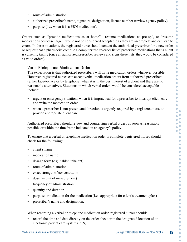- route of administration
- authorized prescriber's name, signature, designation, licence number (review agency policy)
- purpose (i.e., when it is a PRN medication).

Orders such as "provide medications as at home", "resume medications as pre-op", or "resume medications post-discharge", would not be considered acceptable as they are incomplete and can lead to errors. In these situations, the registered nurse should contact the authorized prescriber for a new order or request that a pharmacist compile a computerized re-order list of prescribed medications that a client is currently taking (once an authorized prescriber reviews and signs these lists, they would be considered as valid orders).

#### Verbal/Telephone Medication Orders

The expectation is that authorized prescribers will write medication orders whenever possible. However, registered nurses can accept verbal medication orders from authorized prescribers (either face-to-face or by telephone) when it is in the best interest of a client and there are no reasonable alternatives. Situations in which verbal orders would be considered acceptable include:

- urgent or emergency situations when it is impractical for a prescriber to interrupt client care and write the medication order
- when a prescriber is not present and direction is urgently required by a registered nurse to provide appropriate client care.

Authorized prescribers should review and countersign verbal orders as soon as reasonably possible or within the timeframe indicated in an agency's policy.

To ensure that a verbal or telephone medication order is complete, registered nurses should check for the following:

- client's name
- medication name
- dosage form (e.g., tablet, inhalant)
- route of administration
- exact strength of concentration
- dose (in unit of measurement)
- frequency of administration
- quantity and duration
- purpose or indication for the medication (i.e., appropriate for client's treatment plan)
- prescriber's name and designation.

When recording a verbal or telephone medication order, registered nurses should:

• record the time and date directly on the order sheet or in the designated location of an electronic patient care system (PCS)

C O  $\Box$ 

 $\Box$  $\bullet$ O C Ċ Ċ

 $\bullet$ 

 $\bullet$  $\bullet$ ó  $\bullet$  $\bullet$  $\bullet$  $\bullet$  $\bullet$ ó  $\bullet$  $\bullet$  $\Box$  $\overline{\phantom{0}}$  $\bullet$  $\bullet$  $\bullet$  $\bullet$  $\bullet$ ö  $\bullet$ Ŏ  $\bullet$  $\bullet$  $\bullet$ C Ō  $\overline{\phantom{a}}$ ó  $\bullet$  $\bullet$ 

> $\bullet$  $\bullet$  $\bullet$  $\overline{\phantom{a}}$ ó  $\bullet$  $\bullet$  $\bullet$ ó ó  $\bullet$ O  $\bullet$  $\bullet$  $\bullet$ Ċ  $\bullet$  $\bullet$  $\bullet$ ó

> $\bullet$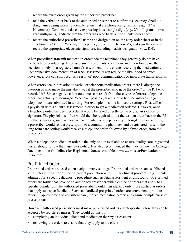- record the exact order given by the authorized prescriber
- read the verbal order back to the authorized prescriber to confirm its accuracy. Spell out drug names using words to identify letters that are phonetically similar (e.g., "N" as in November). Confirm the dose by expressing it as a single digit (e.g., 20 milligrams = two zero milligrams). Indicate that the order was read back on the client's order sheet.
- record the authorized prescriber's name and designation on the copy order sheet or in the electronic PCS (e.g., "verbal, or telephone, order from Dr. Jones"), and sign the entry or record the appropriate electronic signature, including her/his designation (i.e., RN).

When prescribers transmit medication orders via the telephone they generally do not have the benefit of conducting direct assessments of clients' conditions and, therefore, base their decisions solely on a registered nurse's assessment of the clients receiving the medications. Comprehensive documentation of RNs' assessments can reduce the likelihood of errors; however, errors can still occur as a result of poor communications or inaccurate transcriptions.

When errors occur in relation to verbal or telephone medication orders, there is always the question of who made the mistake – was it the prescriber who gave the order? or the RN who recorded it? Since negative client outcomes can result from these types of errors, telephone orders are actually discouraged. Whenever possible, faxes should be used instead - to get telephone orders submitted in writing. For example, in some homecare settings, RNs will call a physician with a client's assessment in order to get a medication ordered. However, once a telephone order has been recorded it would be faxed directly to the physician's office for signature. The physician's office would then be required to fax the written order back to the RN. In other situations, such as those where clients live independently in long-term care settings, a prescriber would send a prescription to a community pharmacy and a registered nurse in the long-term care setting would receive a telephone order, followed by a faxed order, from the prescriber.

When a telephone medication order is the only option available to ensure quality care, registered nurses should follow their agency's policy. It is also recommended that they review the College's Documentation Guidelines for Registered Nurses, available at www.crnns.ca/Publications/ Resources.

#### Pre-Printed Orders

Pre-printed orders are used extensively in many settings. Pre-printed orders are an established set of interventions for a specific patient population with similar clinical problems (e.g., clients admitted for a specific diagnostic procedure such as fetal assessment or ultrasound). Pre-printed orders are forms that provide an authorized prescriber with a choice of orders that apply to a specific population. The authorized prescriber would then identify only those particular orders that apply to a specific client. Such standardized pre-printed orders are convenient; promote efficient, appropriate and consistent care; reduce medication errors; and ensure completeness of prescriptions.

However, authorized prescribers must make pre-printed orders client-specific before they can be accepted by registered nurses. They would do this by:

- completing an individual client and medication therapy assessment
- reviewing the orders to ensure that they apply to the client

Ċ  $\bullet$  $\bullet$  $\bullet$  $\bullet$  $\bullet$  $\bullet$  $\Box$ Ŏ  $\bullet$  $\bullet$  $\bullet$  $\bullet$  $\bullet$  $\bullet$  $\bullet$  $\bullet$ ó  $\bullet$  $\bullet$  $\bullet$  $\bullet$  $\bullet$  $\bullet$  $\bullet$  $\bigcirc$  $\bullet$  $\bullet$  $\bullet$  $\bullet$  $\bullet$  $\bullet$  $\bullet$ ò  $\bullet$  $\bullet$  $\bullet$  $\bullet$  $\bullet$  $\bullet$  $\blacksquare$  $\bullet$  $\bullet$  $\bullet$  $\bullet$  $\bullet$  $\bullet$ ö  $\bullet$  $\bullet$  $\bullet$  $\bullet$ ó Ċ  $\bullet$  $\bullet$  $\bullet$  $\bullet$  $\bullet$  $\overline{\phantom{a}}$  $\bullet$  $\bullet$  $\bullet$  $\bullet$  $\bullet$  $\bullet$  $\bullet$  $\bullet$  $\bullet$  $\bullet$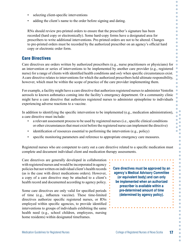- selecting client-specific interventions
- adding the client's name to the order before signing and dating.

RNs should review pre-printed orders to ensure that the prescriber's signature has been recorded (hard copy or electronically). Some hard-copy forms have a designated area for prescribers to write additional interventions. Pre-printed orders are not to be altered. Changes to pre-printed orders must be recorded by the authorized prescriber on an agency's official hard copy or electronic order form.

#### Care Directives

Care directives are orders written by authorized prescribers (e.g., nurse practitioners or physicians) for an intervention or series of interventions to be implemented by another care provider (e.g., registered nurse) for a range of clients with identified health conditions and *only* when specific circumstances exist. A care directive relates to interventions for which the authorized prescribers hold ultimate responsibility, however, which must be within the scope of practice of the care provider implementing them.

For example, a facility might have a care directive that authorizes registered nurses to administer Ventolin aerosols to known asthmatics coming into the facility's emergency department. Or a community clinic might have a care directive that authorizes registered nurses to administer epinephrine to individuals experiencing adverse reactions to a vaccine.

In addition to identifying the specific intervention to be implemented (e.g., medication administration), a care directive must include:

- a relevant assessment process to be used by registered nurses (i.e., specific clinical conditions or other circumstances that must exist before the registered nurse can implement the directive)
- identification of resources essential to performing the intervention (e.g., policy)
- specific monitoring parameters and reference to appropriate emergency care measures.

Registered nurses who are competent to carry out a care directive related to a specific medication must complete and document individual client and medication therapy assessments.

Care directives are generally developed in collaboration with registered nurses and would be incorporated in agency policies but not written on individual client's health records (as is the case with direct medications orders). However, a copy of a care directive may be attached to a client's health record and documented according to agency policy.

Some care directives are only valid for specified periods of time (e.g., influenza vaccine). These time-limited directives authorize specific registered nurses, or RNs employed within specific agencies, to provide identified interventions to groups of individuals exhibiting the same health need (e.g., school children, employees, nursing home residents) within designated timeframes.

**Care directives must be approved by an agency's Medical Advisory Committee (or equivalent body) and can only be implemented when an authorized prescriber is available within a pre-determined amount of time (determined by agency policy).**

O O O

O Ò Ō C Ċ Ċ Ċ Ō C ö Ċ Ċ Ō Ö

Ċ ò  $\bullet$ 

ä  $\bullet$ Ō Ċ Ō Ċ Ŏ Ċ  $\bullet$  $\bullet$ C Ō C ó Ċ Ō ö  $\bullet$  $\bullet$ Ċ C ä Ċ  $\bullet$  $\bullet$ ó ó  $\bullet$  $\overline{\phantom{a}}$  $\bullet$ Ċ ó Ċ ۵  $\bullet$  $\bullet$ Ċ  $\bullet$ C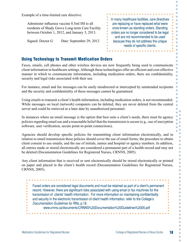Example of a time-limited care directive:

Administer influenza vaccine 0.5ml IM to all residents of Shady Grove Long-term Care Facility between October 1, 2012, and January 3, 2013.

Signed: Doctor G Date: September 29, 2012

#### In many healthcare facilities, care directives are replacing or have replaced what were once known as standing orders. Standing orders are no longer considered to be legal and are not recommended to be used because they do not address the unique needs of specific clients.

. . . . . . . . . . . . . . . . . . .

O O O

 $\bullet$  $\bullet$  $\bullet$  $\bullet$ Ċ Ċ

 $\bullet$ ó O Ċ Ō  $\bullet$ 

Ō Ō  $\bullet$ Ċ Ō

ä  $\bullet$  $\bullet$  $\bullet$  $\blacksquare$  $\bullet$ Ō C ó  $\bullet$  $\bullet$  $\bullet$  $\bullet$  $\bullet$ Ċ  $\bullet$  $\overline{a}$  $\bullet$  $\bullet$  $\bullet$  $\bullet$  $\blacksquare$  $\bullet$ O  $\bullet$  $\bullet$  $\bullet$ Ċ  $\bullet$  $\bullet$  $\bullet$ Ŏ  $\bullet$  $\bullet$ 

### Using Technology to Transmit Medication Orders

Faxes, emails, cell phones and other wireless devices are now frequently being used to communicate client information in healthcare settings. Although these technologies offer an efficient and cost-effective manner in which to communicate information, including medication orders, there are confidentiality, security and legal risks associated with their use.

For instance, email and fax messages can be easily misdirected or intercepted by unintended recipients and the security and confidentiality of these messages cannot be guaranteed.

Using emails to transmit a client's health information, including medication orders, is not recommended. While messages on local (network) computers can be deleted, they are never deleted from the central server and could be retrieved at a later date by unauthorized personnel.

In instances where an email message is the option that best suits a client's needs, there must be agency policies regarding email use and a reasonable belief that the transmission is secure (e.g., use of encryption software, user verification, secure point-to-point connections).

Agencies should develop specific policies for transmitting client information electronically, and in relation to email transmission these policies should cover the use of email forms; the procedure to obtain client consent to use emails; and the use of initials, names and hospital or agency numbers. In addition, all entries made or stored electronically are considered a permanent part of a health record and may not be deleted (Documentation Guidelines for Registered Nurses, CRNNS, 2005).

Any client information that is received or sent electronically should be stored electronically or printed on paper and placed in the client's health record (Documentation Guidelines for Registered Nurses, CRNNS, 2005).

Faxed orders are considered legal documents and must be retained as part of a client's permanent record. However, there are significant risks associated with using email or fax machines for the transmission of clients' health information. For more information on maintaining confidentiality and security in the electronic transmission of client health information, refer to the College's *Documentation Guidelines for RNs*, p.18. www.crnns.ca/documents/CRNNS%20Documentation%20Guidelines%2005.pdf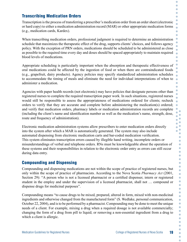# Transcribing Medication Orders

Transcription is the process of transferring a prescriber's medication order from an order sheet (electronic or hard copy) to either a medication administration record (MAR) or other appropriate medication forms (e.g., medication cards, Kardex).

When transcribing medication orders, professional judgment is required to determine an administration schedule that maximizes the therapeutic effect of the drug, supports clients' choices, and follows agency policy. With the exception of PRN orders, medications should be scheduled to be administered as close as possible to the required time every day and doses should be spaced appropriately to maintain required blood levels of medications.

Appropriate scheduling is particularly important when the absorption and therapeutic effectiveness of oral medications could be affected by the ingestion of food or when there are contraindicated foods (e.g., grapefruit, dairy products). Agency policies may specify standardized administration schedules to accommodate the timing of meals and eliminate the need for individual interpretations of when to administer a medication.

Agencies with paper health records (not electronic) may have policies that designate persons other than registered nurses to complete the required transcription paper work. In such situations, registered nurses would still be responsible to assess the appropriateness of medications ordered for clients; recheck orders to verify that they are accurate and complete before administering the medication(s) ordered; and verify that medication orders, pharmacy labels or medication administration records are complete (including the client's name and identification number as well as the medication's name, strength, dose, route and frequency of administration).

Electronic medication administration systems allow prescribers to enter medication orders directly into the system after which a MAR is automatically generated. The system may also include automated dispensing from electronic medication carts and bar-coded medication verification. This system eliminates transcription errors caused by illegible hand writing, incomplete orders or misunderstandings of verbal and telephone orders. RNs must be knowledgeable about the operation of these systems and their responsibilities in relation to the electronic order entry as errors can still occur during data entry.

#### Compounding and Dispensing

Compounding and dispensing medications are not within the scope of practice of registered nurses, but only within the scope of practice of pharmacists. According to the Nova Scotia *Pharmacy Act* (2001, Section 29): "A person who is not a licensed pharmacist or a certified dispenser, intern or registered student in the employ and under the supervision of a licensed pharmacist, shall not … compound or dispense drugs for medicinal purposes".

Compounding means "to cause drugs to be mixed, prepared, altered in form, mixed with non-medicinal ingredients and otherwise changed from the manufactured form" (S. Wedlake, personal communication, October 22, 2004), and is to be performed by a pharmacist. Compounding may be done to meet the unique needs of a client. For example, mixing a drug when a required dosage is not available commercially; changing the form of a drug from pill to liquid; or removing a non-essential ingredient from a drug to which a client is allergic.

O O O Ċ Ō

Ċ  $\bullet$  $\bullet$ 

 $\bullet$  $\bullet$  $\bullet$  $\bullet$ 

 $\bullet$  $\bullet$  $\bullet$  $\bullet$ 

 $\bullet$  $\bullet$  $\bullet$  $\bullet$  $\bullet$  $\bullet$  $\ddot{\phantom{a}}$ Ŏ  $\bullet$  $\bullet$  $\bullet$  $\bullet$  $\bullet$  $\bullet$  $\bullet$ ö  $\bullet$  $\bullet$ Ċ  $\bullet$ ó  $\bullet$  $\bullet$  $\bullet$  $\bullet$  $\bullet$  $\bullet$ Ċ  $\bullet$  $\bullet$  $\bullet$ Ċ  $\bullet$  $\bullet$  $\bullet$  $\bullet$  $\bullet$ C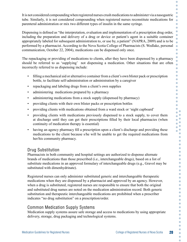It is not considered compounding when registered nurses crush medications to administer via a nasogastric tube. Similarly, it is not considered compounding when registered nurses reconstitute medications for parenteral administration or mix two different types of insulin in the same syringe.

Dispensing is defined as "the interpretation, evaluation and implementation of a prescription drug order, including the preparation and delivery of a drug or device or patient's agent in a suitable container appropriately labeled for subsequent administration to, or use by, a patient" (NAPRA, 2009) and is to be performed by a pharmacist. According to the Nova Scotia College of Pharmacists (S. Wedlake, personal communication, October 22, 2004), medications can be dispensed only once.

The repackaging or providing of medications to clients, after they have been dispensed by a pharmacy should be referred to as 'supplying' not dispensing a medication. Other situations that are often incorrectly referred to as dispensing include:

- filling a mechanical aid or alternative container from a client's own blister pack or prescription bottle, to facilitate self-administration or administration by a caregiver
- repackaging and labeling drugs from a client's own supplies
- administering medications prepared by a pharmacy
- administering medications from a stock supply (dispensed by pharmacy)
- providing clients with their own blister packs or prescription bottles
- providing clients with medications obtained from a ward stock or 'night cupboard'
- providing clients with medications previously dispensed to a stock supply, to cover them at discharge until they can get their prescriptions filled by their local pharmacies (when continuity of medication therapy is essential)
- having an agency pharmacy fill a prescription upon a client's discharge and providing these medications to the client because s/he will be unable to get the required medications from her/his community pharmacy.

### Drug Substitution

Pharmacists in both community and hospital settings are authorized to dispense alternate brands of medications than those prescribed (i.e., interchangeable drugs), based on a list of substitute medications in an approved formulary of interchangeable drugs (e.g., Gravol may be substituted with dimenhydrinate).

Registered nurses can only administer substituted generic and interchangeable therapeutic medications when they are dispensed by a pharmacist and approved by an agency. However, when a drug is substituted, registered nurses are responsible to ensure that both the original and substituted drug names are noted on the medication administration record. Both generic substitution and therapeutic interchangeable medications are prohibited when a prescriber indicates "no drug substitution" on a prescription/order.

# Common Medication Supply Systems

Medication supply systems assure safe storage and access to medications by using appropriate delivery, storage, drug packaging and technological systems.

Ċ  $\bullet$  $\bullet$ 

Ċ  $\bullet$  $\bullet$ 

ó ö  $\bullet$  $\bullet$ 

ó  $\bullet$  $\bullet$ Ċ Ō  $\bullet$  $\bullet$  $\bullet$  $\bullet$  $\Box$ Ŏ  $\bullet$  $\bullet$  $\bullet$  $\bullet$  $\bullet$  $\bullet$  $\bullet$  $\bullet$  $\bullet$  $\bullet$  $\bullet$  $\bullet$  $\blacksquare$  $\bullet$  $\bullet$  $\overline{\phantom{a}}$ ó  $\bullet$  $\bullet$ ö  $\bullet$  $\bullet$ Ċ  $\bullet$ ó Ċ C  $\bullet$ ó ó Ċ O Ċ  $\bullet$  $\bullet$  $\bullet$  $\bullet$  $\bullet$  $\bullet$  $\bullet$  $\bullet$  $\bullet$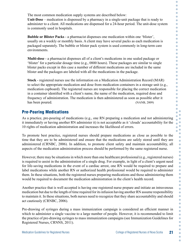The most common medication supply systems are described below: **Unit-Dose** – medication is dispensed by a pharmacy in a single-unit package that is ready to administer to a client. All medications are dispensed for a 24-hour period. The unit-dose system is commonly used in hospitals.

**Bubble or Blister Packs** - a pharmacist dispenses one medication within one 'blister', usually on a weekly or monthly basis. A client may have several packs as each medication is packaged separately. The bubble or blister pack system is used commonly in long-term care environments.

**Multi-dose** - a pharmacist dispenses all of a client's medications in one sealed package or 'blister' for a particular dosage time (e.g., 0800 hours). These packages are similar to single blister packs except in this case a number of different medications are included in the same blister and the packages are labeled with all the medications in the package.

**Stock** - registered nurses use the information on a Medication Administration Record (MAR) to select the appropriate medication and dose from medication containers in a storage unit (e.g., medication cupboard). The registered nurses are responsible for placing the correct medication in a container identified with a client's name, the name of the medication, required dose and frequency of administration. The medication is then administered as soon as possible after it has been poured. (NANB, 2009)

### Pre-Pouring Medications

As a practice, pre-pouring of medications (e.g., one RN preparing a medication and not administering it immediately or having another RN administer it) is not acceptable as it 'clouds' accountability for the 10 rights of medication administration and increases the likelihood of errors.

To promote best practice, registered nurses should prepare medications as close as possible to the time that they are to be administered and ensure that the medications are safely stored until they are administered (CRNBC, 2006). In addition, to promote client safety and maintain accountability, all aspects of the medication administration process should be performed by the same registered nurse.

However, there may be situations in which more than one healthcare professional (e.g., registered nurses) is required to assist in the administration of a single drug. For example, in light of a client's urgent need for life-saving medications in the event of a cardiac arrest, one RN would be required to prepare and label medications while another RN or authorized health professional would be required to administer them. In these situations, both the registered nurses preparing medications and those administering them would be required to document the medication administration in the client's health record.

Another practice that is well accepted is having one registered nurse prepare and initiate an intravenous medication but due to the length of time required for its infusion having another RN assume responsibility to maintain it. In these situations, both nurses need to recognize that they share accountability and should act cautiously (CRNBC, 2006).

Pre-drawing of syringes during a mass immunization campaign is considered an efficient manner in which to administer a single vaccine to a large number of people. However, it is recommended to limit the practice of pre-drawing syringes to mass immunization campaigns (see Immunization Guidelines for Registered Nurses, CRNNS, 2011).

Ċ  $\bullet$  $\bullet$  $\bullet$  $\bullet$  $\bullet$  $\bullet$  $\Box$ Ŏ  $\bullet$  $\bullet$  $\bullet$  $\bullet$  $\bullet$  $\bullet$  $\bullet$  $\bullet$  $\bullet$  $\bullet$  $\bullet$  $\bullet$  $\bullet$  $\bullet$  $\bullet$  $\bullet$  $\bullet$  $\Box$  $\bullet$  $\bullet$ Ō C  $\bullet$ C

 $\bullet$  $\bullet$  $\bullet$  $\bullet$  $\blacksquare$  $\bullet$ Ō ö  $\bullet$  $\bullet$  $\bullet$ ö  $\bullet$  $\bullet$  $\bullet$  $\bullet$  $\bullet$  $\bullet$  $\bullet$  $\bullet$  $\bullet$  $\bullet$  $\bullet$  $\bullet$  $\bullet$  $\bullet$  $\bullet$  $\bullet$  $\bullet$  $\bullet$  $\bullet$  $\bullet$  $\bullet$  $\bullet$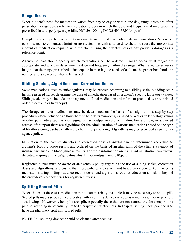#### Range Doses

When a client's need for medication varies from day to day or within one day, range doses are often prescribed. Range doses refer to medication orders in which the dose and frequency of medication is prescribed in a range (e.g., meperidine HCl 50-100 mg IM Q3-4H, PRN for pain).

Complete and comprehensive client assessments are critical when administering range doses. Whenever possible, registered nurses administering medications with a range dose should discuss the appropriate amount of medication required with the client, using the effectiveness of any previous dosages as a reference point.

Agency policies should specify which medications can be ordered in range doses, what ranges are appropriate, and who can determine the dose and frequency within the ranges. When a registered nurse judges that the range prescribed is inadequate in meeting the needs of a client, the prescriber should be notified and a new order should be issued.

### Sliding Scales, Algorithms and Correction Doses

Some medications, such as anticoagulants, may be ordered according to a sliding scale. A sliding scale helps registered nurses determine the dose of a medication based on a client's specific laboratory values. Sliding scales may be included in an agency's official medication order form or provided as a pre-printed order (electronic or hard copy).

The dosage of other medications may be determined on the basis of an algorithm: a step-by-step procedure, often included as a flow chart, to help determine dosages based on a client's laboratory values or other parameters such as vital signs, urinary output or cardiac rhythm. For example, in advanced cardiac life support there are algorithms for the administration of various medications based on the type of life-threatening cardiac rhythm the client is experiencing. Algorithms may be provided as part of an agency policy.

In relation to the care of diabetics, a correction dose of insulin can be determined according to a client's blood glucose results and ordered on the basis of an algorithm of the client's category of insulin resistance and blood glucose results. For more information on insulin administration, visit www. diabetescareprogram.ns.ca/guidelines/InsulinDoseAdjustment2010.pdf.

Registered nurses must be aware of an agency's policy regarding the use of sliding scales, correction doses and algorithms, and ensure that these policies are current and based on evidence. Administering medications using sliding scale, correction doses and algorithms requires education and skills beyond the entry-level competencies for registered nurses.

### Splitting Scored Pills

When the exact dose of a medication is not commercially available it may be necessary to split a pill. Scored pills may also be split (preferably with a splitting device) as a cost-saving measure or to promote swallowing. However, when pills are split, especially those that are not scored, the dose may not be precise, resulting in potentially limited therapeutic effectiveness. In hospital settings, best practice is to have the pharmacy split non-scored pills.

**NOTE**: Pill splitting devices should be cleaned after each use.

O O O Ċ C

Ċ  $\bullet$  $\bullet$ 

Ċ Ċ  $\bullet$ 

Ċ Ō  $\bullet$ ò

 $\overline{a}$ 

Ċ  $\bullet$ 

> $\bullet$  $\bullet$ ó  $\bullet$  $\bullet$  $\bullet$  $\bullet$  $\bullet$ ö  $\bullet$  $\bullet$ Ċ  $\bullet$ ò Ċ  $\bullet$  $\bullet$  $\bullet$  $\bullet$  $\bullet$  $\bullet$ Ċ  $\bullet$  $\bullet$ Ċ  $\bullet$  $\bullet$  $\bullet$  $\bullet$  $\bullet$ Ċ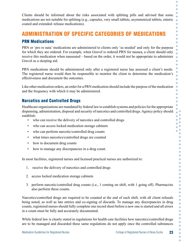Clients should be informed about the risks associated with splitting pills and advised that some medications are not suitable for splitting (e.g., capsules, very small tablets, asymmetrical tablets, enteric coated and extended–release medications).

# ADMINISTRATION OF SPECIFIC CATEGORIES OF MEDICATIONS

#### PRN Medications

PRN or 'pro re nata' medications are administered to clients only 'as needed' and only for the purpose for which they are ordered. For example, when Gravol is ordered PRN for nausea, a client should only receive this medication when nauseated – based on the order, it would not be appropriate to administer Gravol as a sleeping aid.

PRN medications should be administered only after a registered nurse has assessed a client's needs. The registered nurse would then be responsible to monitor the client to determine the medication's effectiveness and document the outcomes.

Like other medication orders, an order for a PRN medication should include the purpose of the medication and the frequency with which it may be administered.

#### Narcotics and Controlled Drugs

Healthcare organizations are mandated by federal law to establish systems and policies for the appropriate dispensing, administration, disposal and security of narcotics and controlled drugs. Agency policy should establish:

- who can receive the delivery of narcotics and controlled drugs
- who can access locked medication storage cabinets
- who can perform narcotic/controlled drug counts
- what times narcotics/controlled drugs are counted
- how to document drug counts
- how to manage any discrepancies in a drug count.

In most facilities, registered nurses and licensed practical nurses are authorized to:

- 1. receive the delivery of narcotics and controlled drugs
- 2. access locked medication storage cabinets
- 3. perform narcotic/controlled drug counts (i.e., 1 coming on shift, with 1 going off). Pharmacists also perform these counts.

Narcotics/controlled drugs are required to be counted at the end of each shift, with all client refusals being noted, as well as late entries and co-signing of discards. To manage any discrepancies in drug counts, registered nurses should fully complete one record sheet before a new one is started and all errors in a count must be fully and accurately documented.

While federal law is clearly stated in regulations for health care facilities how narcotics/controlled drugs are to be managed and discarded these same regulations do not apply once the controlled substances

Ċ  $\bullet$ Ö

Ċ Ċ Ċ Ċ Ċ Ō Ō

Ŏ Ō  $\bullet$  $\bullet$ 

 $\bullet$ Ċ  $\bullet$ Ċ Ō C ö

Ō ò  $\bullet$ Ċ Ċ ö Ċ  $\bullet$ Ō  $\bullet$ O Ō  $\overline{\phantom{a}}$  $\triangle$  $\bullet$  $\bullet$ ö  $\bullet$  $\bullet$ Ċ  $\overline{\phantom{a}}$  $\overline{a}$  $\bullet$  $\bullet$ Ċ  $\triangle$  $\bullet$  $\bullet$  $\bullet$ Ċ  $\bullet$  $\bullet$  $\bullet$  $\bullet$  $\bullet$  $\bullet$  $\bullet$  $\bullet$  $\bullet$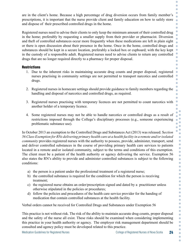are in the client's home. Because a high percentage of drug diversion occurs from family member's prescriptions, it is important that the nurse provide client and family education on how to safely store and dispose of their prescribed controlled drugs in the home.

Registered nurses need to advise their clients to only keep the minimum amount of their controlled drug in the home; preferably by requesting a smaller supply from their provider or pharmacist. Diversion and theft of controlled substances occur more frequently when these medications are left in plain sight or there is open discussion about their presence in the home. Once in the home, controlled drugs and substances should be kept in a secure location, preferably a locked box or cupboard; with the key kept in the custody of a responsible adult. Registered nurses need to advise clients to return any controlled drugs that are no longer required directly to a pharmacy for proper disposal.

#### **Restrictions**

- 1. Due to the inherent risks in maintaining accurate drug counts and proper disposal, registered nurses practising in community settings are not permitted to transport narcotics and controlled drugs.
- 2. Registered nurses in homecare settings should provide guidance to family members regarding the handling and disposal of narcotics and controlled drugs, as required.
- 3. Registered nurses practising with temporary licences are not permitted to count narcotics with another holder of a temporary licence.
- 4. Some registered nurses may not be able to handle narcotics or controlled drugs as a result of restrictions imposed through the College's disciplinary processes (e.g., someone experiencing problematic substance use).

In October 2013 an exemption to the Controlled Drugs and Substances Act (2013) was released. S*ection 56 Class Exemption for RNs delivering primary health care at a health facility in a remote and/or isolated community* provides registered nurses with the authority to possess, provide, administer, transport, send and deliver controlled substances in the course of providing primary health care services to patients located in a remote and/or isolated community, subject to the terms and conditions of this exemption. The client must be a patient of the health authority or agency delivering the service. Exemption 56 also states the RN's ability to provide and administer controlled substances is subject to the following conditions:

- a) the person is a patient under the professional treatment of a registered nurse;
- b) the controlled substance is required for the condition for which the person is receiving treatment;
- c) the registered nurse obtains an order/prescription signed and dated by a practitioner unless otherwise stipulated in the policies or procedures;
- d) follow the policies and procedures of the health care service provider for the handing of medication that contain controlled substances at the health facility.

Verbal orders cannot be received for Controlled Drugs and Substances under Exemption 56

This practice is not without risk. The risk of the ability to maintain accurate drug counts, proper disposal and the safety of the nurse all exist. These risks should be examined when considering implementing this practice in your health authority or agency. The employer risk management department should be consulted and agency policy must be developed related to this practice.

Ċ  $\overline{\phantom{0}}$ O

Ċ  $\bullet$  $\bullet$ 

ö

O  $\bullet$  $\bullet$  $\bullet$ 

Ċ

Ċ Ċ

C C Ó

> $\bullet$ Ċ  $\bullet$  $\bullet$  $\bullet$  $\bullet$  $\bullet$  $\bullet$  $\bullet$  $\bullet$ Ċ Ċ Ċ  $\bullet$ Ċ  $\bullet$ ò C C Ċ  $\bullet$  $\bullet$  $\bullet$ Ċ Ċ  $\bullet$  $\bullet$  $\bullet$  $\bullet$  $\bullet$  $\bullet$  $\bullet$  $\bullet$  $\bullet$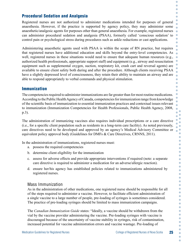### Procedural Sedation and Analgesia

Registered nurses are not authorized to administer medications intended for purposes of general anaesthesia. However, if the practice is supported by agency policy, they may administer some anaesthetic/analgesic agents for purposes other than general anaesthesia. For example, registered nurses can administer procedural sedation and analgesia (PSAA), formerly called 'conscious sedation' to control pain or psychological stress during procedures such as ankle reductions or cast applications.

Administering anaesthetic agents used with PSAA is within the scope of RN practice, but requires that registered nurses have additional education and skills beyond the entry-level competencies. As well, registered nurses in these situations would need to ensure that adequate human resources (e.g., authorized health professionals, appropriate support staff) and equipment (e.g., airway and resuscitation equipment such as supplemental oxygen, suction, respiratory kit, crash cart and reversal agents) are available to ensure client safety both during and after the procedure. Although clients receiving PSAA have a slightly depressed level of consciousness, they retain their ability to maintain an airway and are able to respond appropriately to verbal commands and physical stimulation.

#### Immunization

The competencies required to administer immunizations are far greater than for most routine medications. According to the Public Health Agency of Canada, competencies for immunization range from knowledge of the scientific basis of immunization to essential immunization practices and contextual issues relevant to immunization (Immunization Competencies for Health Professionals, Public Health Agency, 2008, p.3).

The administration of immunizing vaccines also requires individual prescriptions or a care directive (i.e., for a specific client population such as residents in a long-term care facility). As noted previously, care directives need to be developed and approved by an agency's Medical Advisory Committee or equivalent policy approval body (Guidelines for DMFs & Care Directives, CRNNS, 2011).

In the administration of immunizations, registered nurses must:

- a. possess the required competencies
- b. determine client eligibility for the immunization
- c. assess for adverse effects and provide appropriate interventions if required (note: a separate care directive is required to administer a medication for an adverse/allergic reaction).
- d. ensure her/his agency has established policies related to immunizations administered by registered nurses.

#### Mass Immunization

As in the administration of other medications, one registered nurse should be responsible for all of the steps required to administer a vaccine. However, to facilitate efficient administration of a single vaccine to a large number of people, pre-loading of syringes is sometimes considered. The practice of pre-loading syringes should be limited to mass immunization campaigns.

The *Canadian Immunization Guide* states: "Ideally, a vaccine should be withdrawn from the vial by the vaccine provider administering the vaccine. Pre-loading syringes with vaccine is discouraged because of the uncertainty of vaccine stability in syringes, risk of contamination, increased potential for vaccine administration errors and vaccine wastage. Pre-loading of

O O O Ċ Ō

 $\bullet$ Ċ Ċ Ō Ō

Ä Ö  $\overline{\phantom{0}}$ 

> Ō  $\bullet$  $\bullet$  $\bullet$  $\bullet$

Ō ò

> Ŏ  $\bullet$ Ċ Ō Ċ Ċ Ó O Ċ Ċ  $\bullet$ Ċ  $\bullet$ C C  $\bullet$  $\bullet$  $\bullet$  $\bullet$ Ċ Ċ Ċ Ċ  $\bullet$ Ċ  $\bullet$  $\bullet$  $\bullet$ Ċ  $\bullet$ C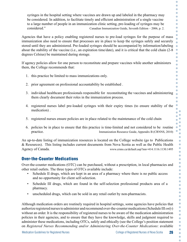syringes in the hospital setting where vaccines are drawn up and labeled in the pharmacy may be considered. In addition, to facilitate timely and efficient administration of a single vaccine to a large number of people in an immunization clinic setting, pre-loading of syringes may be considered." Canadian Immunization Guide, Seventh Edition – 2006, p. 2.

Agencies that have a policy enabling registered nurses to pre-load syringes for the purpose of mass immunization also need to ensure that processes are in place to keep the syringes safely and securely stored until they are administered. Pre-loaded syringes should be accompanied by information/labeling about the stability of the vaccine (i.e., an expiration time/date), and it is critical that the cold chain (2-8 degrees Celsius) be maintained during storage.

If agency policies allow for one person to reconstitute and prepare vaccines while another administers them, the College recommends that:

- 1. this practice be limited to mass immunizations only.
- 2. prior agreement on professional accountability be established .
- 3. individual healthcare professionals responsible for reconstituting the vaccines and administering them clearly document their roles in the immunization process.
- 4. registered nurses label pre-loaded syringes with their expiry times (to ensure stability of the medication) .
- 5. registered nurses ensure policies are in place related to the maintenance of the cold chain
- 6. policies be in place to ensure that this practice is time-limited and not considered to be routine practice. Immunization Resource Guide, Appendix B (CRNNS, 2010)

An up-to-date listing of immunization resources is located on the College website (go to Publications & Resources). This listing includes current documents from Nova Scotia as well as the Public Health Agency of Canada. www.crnns.ca/default.asp?mn=414.1116.1130.1495

#### Over-the-Counter Medications

Over-the-counter medications (OTC) can be purchased, without a prescription, in local pharmacies and other retail outlets. The three types of OTCs available include:

- Schedule II drugs, which are kept in an area of a pharmacy where there is no public access and no opportunity for client self-selection.
- Schedule III drugs, which are found in the self-selection professional products area of a pharmacy.
- unscheduled drugs, which can be sold in any retail outlet by non-pharmacists.

Although medication orders are routinely required in hospital settings, some agencies have policies that authorize registered nurses to administer and recommend over-the-counter medications (Schedule III *only*) without an order. It is the responsibility of registered nurses to be aware of the medication administration policies in their agencies, and to ensure that they have the knowledge, skills and judgment required to administer these medications, including OTCs, safely and ethically (see the College's position statement on *Registered Nurses Recommending and/or Administering Over-the-Counter Medications*: available

Ċ  $\bullet$  $\bullet$ Ċ Ō  $\bullet$  $\bullet$  $\bullet$ Ċ Ċ

 $\bullet$  $\bullet$ Ċ  $\bullet$ Ō Ċ  $\bullet$  $\bullet$ O Ō Ċ Ò

C Ò Ö

> Ō  $\bullet$  $\bullet$ Ċ ö

> > Ċ  $\bullet$  $\bullet$  $\bullet$  $\bullet$  $\bullet$ ö  $\bullet$  $\bullet$ Ċ  $\bullet$ ó  $\bullet$  $\bullet$  $\bullet$  $\bullet$  $\bullet$  $\bullet$  $\bullet$  $\bullet$  $\bullet$  $\bullet$  $\bullet$  $\bullet$  $\bullet$  $\bullet$  $\bullet$  $\bullet$  $\bullet$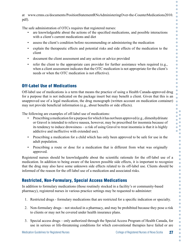at www.crnns.ca/documents/PositionStatementRNsAdministeringOver-the-CounterMedications2010. pdf).

The safe administration of OTCs requires that registered nurses:

- are knowledgeable about the actions of the specified medications, and possible interactions with a client's current medications and diet
- assess the client's condition before recommending or administering the medication
- explain the therapeutic effects and potential risks and side effects of the medication to the client
- document the client assessment and any action or advice provided
- refer the client to the appropriate care provider for further assistance when required (e.g., when a client assessment indicates that the OTC medication is not appropriate for the client's needs or when the OTC medication is not effective).

# Off-Label Use of Medications

Off-label use of medications is a term that means the practice of using a Health Canada-approved drug for a purpose that is not indicated on the package insert but may benefit a client. Given that this is an unapproved use of a legal medication, the drug monograph (written account on medication container) may not provide beneficial information (e.g., about benefits or side effects).

The following are examples of off-label use of medications:

- Prescribing a medication for a purpose for which it has not been approved (e.g., dimenhydrinate or Gravol is intended to relieve nausea, however, may be prescribed for insomnia because of its tendency to induce drowsiness – a risk of using Gravol to treat insomnia is that it is highly addictive and ineffective with extended use).
- Prescribing a medication for a child which has only been approved to be safe for use in the adult population.
- Prescribing a route or dose for a medication that is different from what was originally approved.

Registered nurses should be knowledgeable about the scientific rationale for the off-label use of a medication. In addition to being aware of the known possible side effects, it is important to recognize that the drug may also have some unknown side effects related to its off-label use. Clients should be informed of the reason for the off-label use of a medication and associated risks.

# Restricted, Non-Formulary, Special Access Medications

In addition to formulary medications (those routinely stocked in a facility's or community-based pharmacy), registered nurses in various practice settings may be requested to administer:

- 1. Restricted drugs formulary medications that are restricted for a specific indication or specialty.
- 2. Non-formulary drugs not stocked in a pharmacy, and may be prohibited because they pose a risk to clients or may not be covered under health insurance plans.
- 3. Special access drugs only authorized through the Special Access Program of Health Canada, for use in serious or life-threatening conditions for which conventional therapies have failed or are

Ċ  $\bullet$ Ċ

Ċ  $\bullet$  $\bullet$ Ŏ Ċ Ċ  $\bullet$  $\bullet$ ö  $\bullet$  $\bullet$  $\bullet$ ó  $\bullet$ Ċ Ċ  $\bullet$  $\bullet$ ó

 $\bullet$  $\bullet$  $\bullet$ C  $\bullet$  $\bullet$  $\bullet$ ö  $\bullet$  $\bullet$  $\bullet$  $\bullet$  $\bullet$  $\bullet$ C  $\bullet$  $\bullet$ ó  $\bullet$  $\bullet$ Ō  $\bullet$  $\bullet$  $\bullet$  $\bullet$ ó  $\bullet$  $\bullet$  $\bullet$ ó ó  $\bullet$ Ō  $\bullet$  $\bullet$  $\bullet$  $\bullet$  $\bullet$  $\bullet$  $\bullet$  $\bullet$  $\bullet$  $\bullet$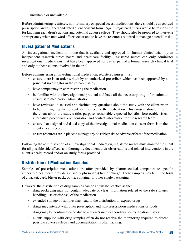unsuitable or unavailable.

Before administering restricted, non-formulary or special access medications, there should be a recorded prescription and a signed and dated client consent form. Again, registered nurses would be responsible for knowing each drug's actions and potential adverse effects. They should also be prepared to intervene appropriately when untoward effects occur and to have the resources required to manage potential risks.

### Investigational Medications

An investigational medication is one that is available and approved for human clinical trials by an independent research ethics board and healthcare facility. Registered nurses can only administer investigational medications that have been approved for use as part of a formal research clinical trial and only to those clients involved in the trial.

Before administering an investigational medication, registered nurses must:

- ensure there is an order written by an authorized prescriber, which has been approved by a principal investigator in the research study
- have competency in administering the medication
- be familiar with the investigational protocol and have all the necessary drug information to ensure safe medication administration
- have reviewed, discussed and clarified any questions about the study with the client prior to her/him signing the consent form to receive the medication. This consent should inform the client about the study's title, purpose, reasonable expected benefits, foreseeable risks, alternative procedures, compensation and contact information for the research team
- ensure that a signed and dated copy of the investigational medication consent form is in the client's heath record
- ensure resources are in place to manage any possible risks or adverse effects of the medication.

Following the administration of an investigational medication, registered nurses must monitor the client for all possible side effects and thoroughly document their observations and related interventions in the client's health record and/or on study forms provided.

#### Distribution of Medication Samples

Samples of prescription medications are often provided by pharmaceutical companies to specific authorized healthcare providers (usually physicians) free of charge. These samples may be in the form of a packet, card, blister pack, bottle, container or other single packaging.

However, the distribution of drug samples can be an unsafe practice as the:

- drug packaging may not contain adequate or clear information related to the safe storage, handling, use or disposal of the medication
- extended storage of samples may lead to the distribution of expired drugs
- drugs may interact with other prescription and non-prescription medications or foods
- drugs may be contraindicated due to a client's medical condition or medication history
- clients supplied with drug samples often do not receive the monitoring required to detect possible adverse effects, and documentation is often lacking.

O

O

 $\bullet$ 

ò  $\bullet$  $\sqrt{2}$ ö

 $\bullet$  $\bullet$  $\Box$  $\bullet$  $\bullet$ Ċ Ō  $\overline{\phantom{0}}$  $\bullet$  $\bullet$  $\bullet$  $\Box$  $\overline{\phantom{0}}$  $\bullet$  $\bullet$ ö  $\bullet$  $\bullet$ Ō ö  $\bullet$  $\bullet$  $\bullet$  $\ddot{\phantom{a}}$  $\bullet$  $\bullet$ ó  $\bullet$  $\bullet$ ó  $\bullet$  $\bullet$ Ō  $\bullet$  $\bullet$  $\bullet$  $\bullet$ ó  $\bullet$  $\bullet$  $\bullet$  $\bullet$ ó  $\bullet$  $\overline{\phantom{a}}$ Ċ  $\bullet$  $\bullet$  $\bullet$  $\bullet$  $\bullet$  $\bullet$  $\bullet$  $\bullet$  $\bullet$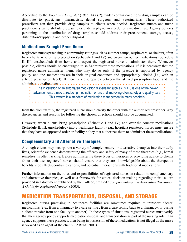According to the *Food and Drug Act* (1985, 14s.s.2), under certain conditions drug samples can be distribute to physicians, pharmacists, dental surgeons and veterinarians. These authorized prescribers can then provide drug samples to clients when needed. Registered nurses and nurse practitioners can distribute drug samples under a physician's order or care directive. Agency policies pertaining to the distribution of drug samples should address their procurement, storage, access, distribution/supplying and proper disposal.

#### Medications Brought From Home

Registered nurses practising in community settings such as summer camps, respite care, or shelters, often have clients who bring prescription (Schedule I and IV) and over-the-counter medications (Schedule II, III, unscheduled) from home and expect the registered nurse to administer them. Whenever possible, clients should be encouraged to self-administer these medications. If it is necessary that the registered nurse administer them, s/he may do so only if the practice is supported by agency policy and the medications are in their original containers and appropriately labeled (i.e., with an affixed prescription label). If there is a discrepancy between the affixed prescription label and the  $\bullet$ administration directions

The installation of an automated medication dispensary such as PYXIS is one of the newer advancements aimed at reducing medication errors and improving client safety and quality care. This system is a standard of medication management in many hospitals.

from the client/family, the registered nurse should clarify the order with the authorized prescriber. Any discrepancies and reasons for following the chosen directions should also be documented.

However, when clients bring prescription (Schedule I and IV) and over-the-counter medications (Schedule II, III, unscheduled) into a healthcare facility (e.g., hospital) registered nurses must ensure that they have an approved order or facility policy that authorizes them to administer these medications.

### Complementary and Alternative Therapies

Although clients may incorporate a variety of complementary or alternative therapies into their daily lives, scientific evidence demonstrating the efficacy and safety of many of these therapies (e.g., herbal remedies) is often lacking. Before administering these types of therapies or providing advice to clients about their use, registered nurses should ensure that they are knowledgeable about the therapeutic benefits, side effects, contraindications, and potential interactions with traditional medications.

Further information on the roles and responsibilities of registered nurses in relation to complementary and alternative therapies, as well as a framework for ethical decision-making regarding their use, are provided in a document published by the College, entitled "*Complementary and Alternative Therapies: A Guide for Registered Nurses*" (2005).

# MEDICATION TRANSPORTATION, DISPOSAL, AND STORAGE

Registered nurses practising in healthcare facilities are sometimes required to transport clients' medications (e.g., from a pharmacy to a care setting , from a care setting back to a pharmacy, or during a client transfer from one facility to another). In these types of situations, registered nurses must verify that their agency policy supports medication disposal and transportation as part of the nursing role. If an agency supports these practices, then being in possession of these medications is not illegal as the nurse is viewed as an agent of the client (CARNA, 2007).

Ċ  $\bullet$ Ö

ò Ċ  $\bullet$  $\sqrt{2}$ ö

 $\overline{\phantom{0}}$  $\bullet$  $\bullet$  $\bullet$ C

ö  $\bullet$ Ō C ò Ō ö

> $\bullet$ ó Ō ×  $\bullet$  $\bullet$  $\bullet$ Ō Ċ  $\bullet$ Ċ  $\bullet$  $\overline{a}$  $\bullet$  $\bullet$  $\bullet$  $\bullet$  $\bullet$  $\bullet$  $\bullet$  $\bullet$  $\bullet$  $\bullet$  $\bullet$  $\bullet$  $\bullet$  $\bullet$  $\bullet$  $\bullet$  $\bullet$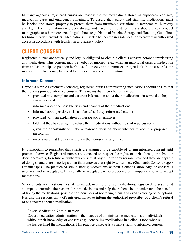In many agencies, registered nurses are responsible for medications stored in cupboards, cabinets, medication carts and emergency containers. To ensure their safety and stability, medications must be labeled and stored properly to protect them from unsuitable variations in temperature, humidity and light. For information on proper storage and handling, registered nurses should check product monographs or other more specific guidelines (e.g., National Vaccine Storage and Handling Guidelines for Immunization Providers). Medications must also be secured in a safe location to prevent unauthorized access in accordance with legislation and agency policy.

# CLIENT CONSENT

Registered nurses are ethically and legally obligated to obtain a client's consent before administering any medication. This consent may be verbal or implied (e.g., when an individual takes a medication from an RN or helps to position her/himself to receive an intramuscular injection). In the case of some medications, clients may be asked to provide their consent in writing.

### Informed Consent

Beyond a simple agreement (consent), registered nurses administering medications should ensure that their clients provide informed consent. This means that their clients have been:

- provided with complete and accurate information about their medications, in terms that they can understand
- informed about the possible risks and benefits of their medications
- informed about possible risks and benefits if they refuse medications
- provided with an explanation of therapeutic alternatives
- told that they have a right to refuse their medications without fear of repercussions
- given the opportunity to make a reasoned decision about whether to accept a proposed medication
- made aware that they can withdraw their consent at any time.

It is important to remember that clients are assumed to be capable of giving informed consent until proven otherwise. Registered nurses are expected to respect the rights of their clients, or substitute decision-makers, to refuse or withdraw consent at any time for any reason, provided they are capable of doing so and there is no legislation that removes that right (www.crnbc.ca/Standards/Consent/Pages/ Default.aspx). The practice of administering medications without a client's knowledge or consent is unethical and unacceptable. It is equally unacceptable to force, coerce or manipulate clients to accept medications.

When clients ask questions, hesitate to accept, or simply refuse medications, registered nurses should attempt to determine the reasons for these decisions and help their clients better understand the benefits of taking the medications, possible consequences of not taking them, and even exploring other options. It is also the responsibility of registered nurses to inform the authorized prescriber of a client's refusal of or concerns about a medication.

#### Covert Medication Administration

Covert medication administration is the practice of administering medications to individuals without their knowledge or consent (e.g., concealing medications in a client's food when s/ he has declined the medication). This practice disregards a client's right to informed consent

Ċ  $\bullet$ Ö

 $\bullet$ 

ò  $\bullet$  $\bullet$ ó Ċ  $\bullet$ 

Ċ Ò Ō Ċ  $\bullet$ Ō  $\bullet$ C ö  $\bullet$  $\bullet$  $\bullet$ ò  $\bullet$ Ċ ö Ċ Ŏ Ŏ  $\bullet$ C  $\overline{a}$  $\overline{\phantom{a}}$  $\bullet$  $\bullet$ Ċ Ċ Ċ  $\bullet$ Ċ  $\bullet$  $\bullet$  $\bullet$  $\bullet$ Ċ ó  $\bullet$  $\bullet$ Ō Ċ  $\bullet$  $\bullet$  $\bullet$  $\bullet$  $\bullet$  $\bullet$ Ċ Ċ  $\bullet$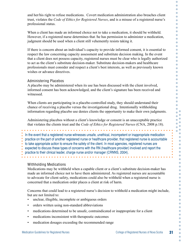and her/his right to refuse medications. Covert medication administration also breaches client trust, violates the *Code of Ethics for Registered Nurses*, and is a misuse of a registered nurse's professional status.

When a client has made an informed choice not to take a medication, it should be withheld. However, if a registered nurse determines that /he has permission to administer a medication, judgment should be used when a client still vehemently resists taking it.

If there is concern about an individual's capacity to provide informed consent, it is essential to respect the law concerning capacity assessment and substitute decision making. In the event that a client does not possess capacity, registered nurses must be clear who is legally authorized to act as the client's substitute decision-maker. Substitute decision-makers and healthcare professionals must consider and respect a client's best interests, as well as previously known wishes or advance directives.

#### Administering Placebos

A placebo may be administered when its use has been discussed with the client involved, informed consent has been acknowledged, and the client's signature has been received and witnessed.

When clients are participating in a placebo-controlled study, they should understand their chance of receiving a placebo versus the investigational drug. Intentionally withholding information regarding placebo use denies clients the opportunity to make their own judgments.

Administering placebos without a client's knowledge or consent is an unacceptable practice that violates the clients trust and the *Code of Ethics for Registered Nurses* (CNA, 2008 p.18).

In the event that a registered nurse witnesses unsafe, unethical, incompetent or inappropriate medication practice on the part of another registered nurse or healthcare provider, that registered nurse is accountable to take appropriate action to ensure the safety of the client. In most agencies, registered nurses are expected to discuss these types of concerns with the RN (healthcare provider) involved and report the practice to their clinical leader, charge nurse and/or manager (CRNNS, 2004).

#### Withholding Medications

Medications may be withheld when a capable client or a client's substitute decision-maker has made an informed choice not to have them administered. As registered nurses are accountable to advocate for client safety, medications could also be withheld when a registered nurse is concerned that a medication order places a client at risk of harm.

Concerns that could lead to a registered nurse's decision to withhold a medication might include, but are not limited to:

- unclear, illegible, incomplete or ambiguous orders
- orders written using non-standard abbreviations
- medications determined to be unsafe, contraindicated or inappropriate for a client
- medications inconsistent with therapeutic outcomes
- medication dosages exceeding the recommended range

 $\bullet$  $\bullet$  $\bullet$  $\bullet$  $\bullet$  $\bullet$  $\bullet$  $\bullet$  $\bullet$  $\bullet$  $\bullet$  $\bigcirc$  $\bullet$  $\bullet$  $\bullet$  $\bullet$  $\bullet$  $\bullet$  $\bullet$  $\bullet$  $\bullet$  $\bullet$  $\bullet$  $\bullet$  $\bullet$  $\bullet$  $\bullet$  $\bullet$  $\bullet$  $\bullet$  $\bullet$ ó  $\bullet$ ö  $\bullet$ Ŏ  $\bullet$  $\bullet$  $\bullet$ 

 $\bullet$  $\blacksquare$ ó  $\bullet$ ×  $\overline{a}$  $\bullet$  $\Box$  $\bullet$ 

> $\bullet$  $\bullet$  $\bullet$  $\bullet$  $\overline{a}$  $\bullet$  $\bullet$  $\bullet$  $\bullet$  $\blacksquare$  $\bullet$  $\Box$  $\bullet$  $\bullet$  $\bullet$  $\bullet$  $\bullet$  $\bullet$  $\bullet$  $\bullet$  $\bullet$  $\bullet$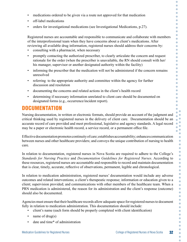O • medications ordered to be given via a route not approved for that medication C • off-label medications  $\blacksquare$ Ō • orders for investigational medications (see Investigational Medications, p.27).  $\Box$ Ŏ  $\bullet$ Registered nurses are accountable and responsible to communicate and collaborate with members  $\bullet$ of the interprofessional team when they have concerns about a client's medications. After  $\bullet$ reviewing all available drug information, registered nurses should address their concerns by:  $\Box$ • consulting with a pharmacist, when necessary ö  $\bullet$ • promptly contacting the authorized prescriber, to clearly articulate the concern and request  $\bullet$ rationale for the order (when the prescriber is unavailable, the RN should consult with her/ Ō his manager, supervisor or another designated authority within the facility) ó  $\bullet$ • informing the prescriber that the medication will not be administered if the concern remains  $\bullet$ unresolved  $\Box$ • referring to the appropriate authority and committee within the agency for further  $\bullet$  $\Box$ discussion and resolution  $\Box$ • documenting the concerns and related actions in the client's health record  $\Box$  $\bullet$ • determining if necessary information unrelated to client care should be documented on C designated forms (e.g., occurrence/incident report).  $\blacksquare$  $\bullet$ **DOCUMENTATION** Ō Nursing documentation, in written or electronic formats, should provide an account of the judgment and critical thinking used by registered nurses in the delivery of client care. Documentation should be an accurate record of care provided and meet professional, legislative and agency standards. A legal record may be a paper or electronic health record, a service record, or a permanent office file.  $\bullet$  $\blacksquare$ Effective documentation promotes continuity of care; establishes accountability; enhances communication between nurses and other healthcare providers; and conveys the unique contribution of nursing to health In relation to documentation, registered nurses in Nova Scotia are required to adhere to the College's *Standards for Nursing Practice* and *Documentation Guidelines for Registered Nurses*. According to these resources, registered nurses are accountable and responsible to record and maintain documentation that is clear, timely, accurate, reflective of observations, permanent, legible and chronological. In relation to medication administration, registered nurses' documentation would include any adverse outcomes and related interventions; a client's therapeutic response; information or education given to a client; supervision provided; and communications with other members of the healthcare team. When a PRN medication is administered, the reason for its administration and the client's response (outcome) should also be documented. Agencies must ensure that their healthcare records allow adequate space for registered nurses to document fully in relation to medication administration. This documentation should include: • client's name (each form should be properly completed with client identification) name of drug(s) • date and time\* of administrationMedication Guidelines for Registered Nurses College of Registered Nurses of Nova Scotia 32

care.

O O

> Ŏ  $\ddot{\phantom{a}}$

> $\bullet$

ó  $\bullet$ Ō ó  $\bullet$  $\bullet$ Ċ  $\bullet$  $\bullet$  $\bullet$  $\bullet$  $\bullet$  $\bullet$  $\bullet$  $\bullet$ ó ×  $\bullet$  $\bullet$  $\bullet$  $\bullet$  $\bullet$ Ċ  $\bullet$  $\bullet$  $\bullet$  $\bullet$  $\bullet$  $\bullet$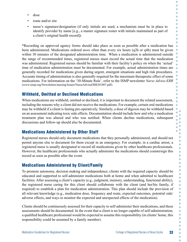- dose
- route and/or site
- nurse's signature/designation (if only initials are used, a mechanism must be in place to identify provider by name [e.g., a master signature roster with initials maintained as part of a client's original health record]).

\*Recording on approved agency forms should take place as soon as possible after a medication has been administered. Medications ordered *more* often than every six hours (q2h or q4h) must be given within 30 minutes of the designated administration time. When a medication is administered outside the range of recommended times, registered nurses must record the actual time that the medication was administered. Registered nurses should be familiar with their facility's policy on when the 'actual' time of medication administration must be documented. For example, actual administration times are generally recorded for medications given during urgent, emergent situations and high risk procedures. Accurate timing of administration is also generally required for the maximum therapeutic effect of some medications. For information on the '30-Minute Rule', refer to the ISMP newsletter *Nurse Advise-ERR* (www.ismp.org/Newsletters/nursing/Issues/NurseAdviseERR201007.pdf).

# Withheld, Omitted or Declined Medications

When medications are withheld, omitted or declined, it is important to document the related assessment, including the reasons why a client did not receive the medications. For example, certain oral medications may be withheld if a client is fasting pre-operatively. Similarly, a dose of digoxin may be withheld based on an assessment indicating toxic side effects. Documentation should include how and why a medication treatment plan was altered and who was notified. When clients decline medications, subsequent discussions and follow-up should also be documented.

# Medications Administered by Other Staff

Registered nurses should only document medications that they personally administered, and should not permit anyone else to document for them except in an emergency. For example, in a cardiac arrest, a registered nurse is usually designated to record all medications given by other healthcare professionals. However, the healthcare professionals who actually administer the medications should countersign this record as soon as possible after the event.

# Medications Administered by Client/Family

To promote autonomy, decision making and independence, clients with the required capacity should be educated and supported to self-administer medications both at home and when admitted to healthcare facilities. After assessing a client's capacity (e.g., judgment, memory, understanding, functional ability), the registered nurse caring for this client should collaborate with the client (and her/his family, if required) to establish a plan for medication administration. This plan should include the provision of all relevant knowledge (e.g., medication dose, frequency and route, expected outcomes, potential side/ adverse effects, and ways to monitor the expected and unexpected effects of the medication).

Clients should be continuously assessed for their capacity to self-administer their medications, and these assessments should be documented. In the event that a client is no longer capable of self-administration, a qualified healthcare professional would be expected to assume this responsibility (in clients' home, this responsibility could be assumed by a family member).

O O O Ċ Ō  $\bullet$ Ō C Ċ Ċ  $\bullet$  $\bullet$ ó

 $\bullet$  $\bullet$  $\bullet$ Ō

ó  $\bullet$  $\bullet$  $\bullet$  $\bullet$  $\bullet$ ó G Ō Ċ ò Ċ  $\bullet$ ö  $\bullet$  $\bullet$ Ċ  $\bullet$  $\bullet$ Ċ C  $\bullet$  $\bullet$  $\bullet$  $\bullet$  $\overline{\phantom{a}}$ Ċ Ċ  $\bullet$ Ċ  $\bullet$  $\bullet$  $\bullet$ Ċ  $\bullet$ C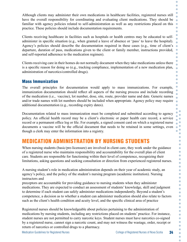Although clients may administer their own medications in healthcare facilities, registered nurses still have the overall responsibility for coordinating and evaluating client medications. They should be familiar with agency policies related to self-administration as well as any restrictions placed on this practice. These policies should include documentation requirements.

Clients receiving healthcare in facilities such as hospitals or health centres may be educated to selfadminister in specific situation (e.g., when granted a leave of absence or 'pass' to leave the hospital). Agency's policies should describe the documentation required in these cases (e.g., time of client's departure, duration of pass, medications given to the client or family member, instructions provided, and self-reported adherence to the medication regimen).

Clients receiving care in their homes do not normally document when they take medications unless there is a specific reason for doing so (e.g., tracking compliance, implementation of a new medication plan, administration of narcotics/controlled drugs).

#### Mass Immunization

The overall principles for documentation would apply to mass immunizations. For example, immunization documentation should reflect all aspects of the nursing process and include recording of the medication (i.e., vaccine), lot number, dose, site, route, provider name and date. Generic names and/or trade names with lot numbers should be included when appropriate. Agency policy may require additional documentation (e.g., recording expiry dates).

Documentation related to mass immunization must be completed and submitted according to agency policy. An official health record may be a client's electronic or paper health care record, a service record or a permanent office log or file. For example, a signed consent card on which a registered nurse documents a vaccine will be the official document that needs to be retained in some settings, even though a clerk may enter the information into a registry.

# MEDICATION ADMINISTRATION BY NURSING STUDENTS

When nursing students (basic/pre-licensure) are involved in client care, they work under the guidance of a registered nurse who maintains responsibility and accountability for the overall plan of client care. Students are responsible for functioning within their level of competence, recognizing their limitations, asking questions and seeking consultation or direction from experienced registered nurses.

A nursing student's role in medication administration depends on their year of academic study, an agency's policy, and the policy of the student's nursing program (academic institution). Nursing instructors and

preceptors are accountable for providing guidance to nursing students when they administer medications. They are expected to conduct an assessment of students' knowledge, skill and judgment to determine if each student can safely administer medications independently. Beyond a student's competence, a decision as to whether a student can administer medication should also relate to factors such as the client's health condition and acuity level, and the specific clinical area of practice

Registered nurses should be knowledgeable about policies pertaining to the administration of medications by nursing students, including any restrictions placed on students' practice. For instance, student nurses are not permitted to carry narcotic keys. Student nurses must have narcotics co-signed by a registered nurse, cannot sign a narcotic count, and may not witness the wastage, order, receipt or return of narcotics or controlled drugs to a pharmacy.

Ċ  $\overline{\phantom{0}}$  $\bullet$ Ċ

Ö C Ċ  $\bullet$ 

Ċ ö Ċ  $\bullet$ Ō

Ċ Ò Ō Ċ Ċ

> ò ò Ō

ä  $\bullet$  $\bullet$  $\bullet$ C Ō C  $\bullet$  $\bullet$  $\bullet$ Ō Ċ  $\bullet$ Ċ  $\bullet$ ó C  $\bullet$  $\bullet$ Ċ  $\bullet$  $\bullet$ O Ċ  $\bullet$  $\bullet$ Ċ  $\bullet$  $\bullet$  $\bullet$  $\bullet$  $\bullet$  $\bullet$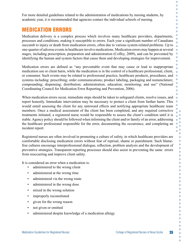For more detailed guidelines related to the administration of medications by nursing students, by academic year, it is recommended that agencies contact the individual schools of nursing.

# MEDICATION ERRORS

Medication delivery is a complex process which involves many healthcare providers, departments, processes and conditions, making it susceptible to errors. Each year a significant number of Canadians succumb to injury or death from medication errors, often due to various system-related problems. Up to one-quarter of adverse events in healthcare involve medications. Medication errors may happen at several stages, including prescription, preparation and administration (Coffey, 2009), and can be prevented by identifying the human and system factors that cause them and developing strategies for improvement.

Medication errors are defined as "any preventable event that may cause or lead to inappropriate medication use or client harm, while the medication is in the control of a healthcare professional, client, or consumer. Such events may be related to professional practice, healthcare products, procedures, and systems including: prescribing; order communications; product labeling, packaging and nomenclature; compounding; dispensing; distribution; administration; education; monitoring; and use" (National Coordinating Council for Medication Error Reporting and Prevention, 2006).

When medication errors occur, immediate steps should be taken to safeguard clients, resolve issues, and report honestly. Immediate intervention may be necessary to protect a client from further harm. This would entail assessing the client for any untoward effects and notifying appropriate healthcare team members. Once a medical assessment of the client has been completed, and any required corrective treatments initiated, a registered nurse would be responsible to assess the client's condition until it is stable. Agency policy should be followed when informing the client and/or family of an error, addressing the healthcare professional responsible for the error, documenting the occurrence, and completing an incident report.

Registered nurses are often involved in promoting a culture of safety, in which healthcare providers are comfortable disclosing medication errors without fear of reprisal, shame or punishment. Such blamefree cultures encourage interprofessional dialogue, reflection, problem analysis and the development of preventive strategies. Transparent reporting processes should also assist in preventing the same errors from reoccurring and improve client safety.

It is considered an error when a medication is:

- administered to the wrong client
- administered at the wrong time
- administered via the wrong route
- administered in the wrong dose
- mixed in the wrong solution
- improperly reconstituted
- given for the wrong reason
- not given or omitted
- administered despite knowledge of a medication allergy

Ċ  $\bullet$ O Ċ C Ċ Ō C Ċ Ċ

 $\overline{\phantom{a}}$  $\bullet$  $\bullet$  $\bullet$ 

 $\blacksquare$ 

 $\bullet$ Ò  $\bullet$  $\bullet$ 

 $\ddot{\phantom{a}}$  $\bullet$  $\bullet$ ŏ  $\bullet$  $\bullet$  $\bullet$  $\bullet$  $\bullet$  $\bullet$ ö  $\bullet$  $\bullet$ Ċ  $\bullet$ ó C O  $\bullet$ ó ó Ċ O Ċ  $\bullet$  $\bullet$ Ċ  $\bullet$  $\bullet$  $\bullet$ Ċ

Ċ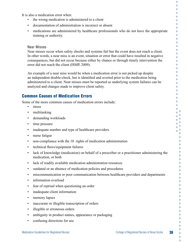It is also a medication error when:

- the wrong medication is administered to a client
- documentation of administration is incorrect or absent
- medications are administered by healthcare professionals who do not have the appropriate training or authority.

#### Near Misses

Near misses occur when safety checks and systems fail but the event does not reach a client. In other words, a near miss is an event, situation or error that could have resulted in negative consequences, but did not occur because either by chance or through timely intervention the error did not reach the client (ISMP, 2009).

An example of a near miss would be when a medication error is not picked up despite an independent double-check, but is identified and averted prior to the medication being administered to a client. Near misses must be reported so underlying system failures can be analyzed and changes made to improve client safety.

#### Common Causes of Medication Errors

Some of the more common causes of medication errors include:

- stress
- multitasking
- demanding workloads
- time pressure
- inadequate number and type of healthcare providers
- nurse fatigue
- non-compliance with the 10 rights of medication administration
- technical flaws/equipment failures
- lack of knowledge (medication) on behalf of a prescriber or a practitioner administering the medication, or both
- lack of readily available medication administration resources
- outdated or an absence of medication policies and procedures
- miscommunication or poor communication between healthcare providers and departments
- information overload
- fear of reprisal when questioning an order
- inadequate client information
- memory lapses
- inaccurate or illegible transcription of orders
- illegible or erroneous orders
- ambiguity in product names, appearance or packaging
- confusing directions for use

C O

 $\Box$  $\bullet$  $\bullet$  $\Box$ Ŏ  $\blacksquare$  $\bullet$  $\bullet$  $\bullet$  $\blacksquare$  $\bullet$  $\bullet$  $\bullet$  $\Box$  $\overline{\phantom{0}}$  $\bullet$  $\bullet$  $\bullet$  $\overline{\phantom{0}}$ Ò  $\bullet$  $\bigcirc$  $\Box$  $\bullet$  $\bullet$  $\bullet$  $\bullet$ 

> $\bullet$  $\bullet$  $\overline{a}$  $\bullet$  $\bullet$ ö  $\bullet$  $\bullet$  $\bullet$  $\overline{\phantom{a}}$ ó  $\bullet$  $\bullet$  $\bullet$ ó  $\blacksquare$  $\bullet$  $\bullet$  $\bullet$  $\bullet$  $\bullet$  $\bullet$  $\blacksquare$  $\bullet$  $\bullet$  $\overline{\phantom{a}}$

ó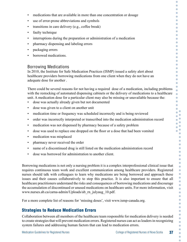- medications that are available in more than one concentration or dosage
- use of error-prone abbreviations and symbols
- transitions in care delivery (e.g., coffee break)
- faulty technique
- interruptions during the preparation or administration of a medication
- pharmacy dispensing and labeling errors
- packaging errors
- borrowed medications.

#### Borrowing Medications

In 2010, the Institute for Safe Medication Practices (ISMP) issued a safety alert about healthcare providers borrowing medications from one client when they do not have an adequate dose for another .

There could be several reasons for not having a required dose of a medication, including problems with the restocking of automated dispensing cabinets or the delivery of medications to a healthcare unit. A medication dose for a particular client may also be missing or unavailable because the:

- dose was actually already given but not documented
- dose was given to a client on another unit
- medication time or frequency was scheduled incorrectly and is being reviewed
- order was incorrectly interpreted or transcribed into the medication administration record
- medication was not dispensed by pharmacy because of a safety problem
- dose was used to replace one dropped on the floor or a dose that had been vomited
- medication was misplaced
- pharmacy never received the order
- name of a discontinued drug is still listed on the medication administration record
- dose was borrowed for administration to another client.

Borrowing medications is not only a nursing problem it is a complex interprofessional clinical issue that requires continuous team work and excellent communication among healthcare providers. Registered nurses should talk with colleagues to learn why medications are being borrowed and approach these issues and their causes collaboratively to stop this practice. It is also important to ensure that all healthcare practitioners understand the risks and consequences of borrowing medications and discourage the accumulation of discontinued or unused medications on healthcare units. For more information, visit www.nurses.ab.ca/carna-admin/Uploads/ab\_rn\_julyaug\_10.pdf.

For a more complete list of reasons for 'missing doses', visit www.ismp-canada.org.

# Strategies to Reduce Medication Errors

Collaboration between all members of the healthcare team responsible for medication delivery is needed to create strategies that will prevent medication errors. Registered nurses can act as leaders in recognizing system failures and addressing human factors that can lead to medication errors.

O O

O  $\blacksquare$ O C Ċ O C O  $\Box$ C O  $\triangle$ 

 $\Box$  $\blacksquare$ Ċ  $\bullet$  $\bullet$  $\overline{\phantom{0}}$  $\bullet$ Ċ Ċ  $\bullet$  $\overline{\phantom{0}}$  $\bullet$  $\bullet$ Ō ò  $\bullet$ Ċ ö  $\bullet$  $\bullet$  $\bullet$ C Ō  $\overline{\phantom{a}}$ ó  $\bullet$  $\bullet$ Ō  $\bullet$  $\bullet$  $\bullet$  $\bullet$  $\bullet$  $\bullet$  $\bullet$  $\bullet$  $\bullet$ ó  $\bullet$  $\overline{\phantom{a}}$  $\bullet$  $\bullet$  $\bullet$  $\bullet$  $\bullet$  $\bullet$  $\bullet$  $\bullet$  $\bullet$  $\bullet$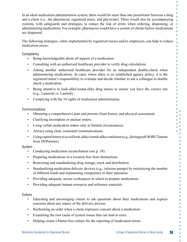In an ideal medication administration system, there would be more than one practitioner between a drug and a client (i.e., the pharmacist, registered nurse, and physician). There would also be accompanying systems, with safeguards and strategies, to reduce the risk of errors when ordering, dispensing, or administering medications. For example, pharmacies would have a system of checks before medications are dispensed.

The following strategies, when implemented by registered nurses and/or employers, can help to reduce medication errors:

#### **Competency**

- Being knowledgeable about all aspects of a medication.
- Consulting with an authorized healthcare provider to verify drug calculations.
- Asking another authorized healthcare provider for an independent double-check when administering medications. In cases where there is no established agency policy, it is the registered nurse's responsibility to evaluate and decide whether to ask a colleague to double check a medication.
- Being attentive to look-alike/sound-alike drug names to ensure you have the correct one (e.g., Lamictal vs. Lamisil).
- Complying with the 10 rights of medication administration.

#### **Communications**

- Obtaining a comprehensive past and present client history and physical assessment.
- Clarifying incomplete or unclear orders.
- Using verbal medication orders only in limited circumstances.
- Always using clear, consistent communications.
- Using capital letters to avoid look-alike/sound-alike confusion (e.g., distinguish DOBUTamine from DOPamine).

#### System

- Conducting medication reconciliation (see p. 38).
- Preparing medications in a location free from distractions.
- Restricting and standardizing drug storage, stock and distribution.
- Standardizing medication delivery devices (e.g., infusion pumps) by minimizing the number of different kinds and maintaining competence in their operation.
- Providing adequate, secure workspaces in which to prepare medications.
- Providing adequate human resources and reference materials.

#### **Culture**

- Educating and encouraging clients to ask questions about their medications and express concerns about any aspect of the delivery process.
- Rechecking an order when a client expresses concern about a medication.
- Examining the root cause of system issues that can lead to error.
- Helping create a blame-free culture for the reporting of medication errors.

C C O

 $\bullet$ C  $\bullet$ Ō

C ö  $\bullet$  $\bullet$  $\bullet$  $\blacksquare$  $\bullet$  $\bullet$  $\bullet$  $\bullet$  $\bullet$  $\bullet$  $\bullet$  $\bullet$  $\Box$  $\overline{\phantom{0}}$  $\bullet$  $\bullet$  $\bullet$  $\blacksquare$ Ċ Ŏ  $\bullet$  $\bullet$ C Ō × ó  $\bullet$  $\bullet$ ö  $\bullet$  $\bullet$  $\bullet$ Ō ó  $\bullet$  $\bullet$  $\bullet$ ó ó  $\bullet$  $\overline{\phantom{a}}$  $\bullet$  $\bullet$  $\bullet$  $\bullet$  $\triangle$  $\bullet$  $\bullet$  $\overline{\phantom{a}}$  $\bullet$ ó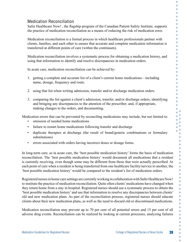### Medication Reconciliation

Safer Healthcare Now! , the flagship program of the Canadian Patient Safety Institute, supports the practice of medication reconciliation as a means of reducing the risk of medication error.

Medication reconciliation is a formal process in which healthcare professionals partner with clients, families, and each other to ensure that accurate and complete medication information is transferred at different points of care (within the continuum).

Medication reconciliation involves a systematic process for obtaining a medication history, and using that information to identify and resolve discrepancies in medication orders.

In acute care, medication reconciliation can be achieved by:

- 1. getting a complete and accurate list of a client's current home medications—including name, dosage, frequency and route.
- 2. using that list when writing admission, transfer and/or discharge medication orders.
- 3. comparing the list against a client's admission, transfer, and/or discharge orders; identifying and bringing any discrepancies to the attention of the prescriber; and, if appropriate, making changes to the orders, and documenting.

Medication errors that can be prevented by reconciling medications may include, but not limited to:

- omission of needed home medications
- failure to restart home medications following transfer and discharge
- duplicate therapies at discharge (the result of brand/generic combinations or formulary substitutions)
- errors associated with orders having incorrect doses or dosage forms.

In long-term care, as in acute care, the 'best possible medication history' forms the basis of medication reconciliation. The 'best possible medication history' would document all medications that a resident is currently receiving, even though some may be different from those that were actually prescribed. At each point of care when a resident is being transferred from one healthcare facility/service to another, the 'best possible medication history' would be compared to the resident's list of medication orders.

Registered nurses in home care settings are currently working in collaboration with Safer Healthcare Now! to institute the practice of medication reconciliation. Quite often clients' medications have changed when they return home from a stay in hospital. Registered nurses should use a systematic process to obtain the 'best possible medication history' and use that information to resolve any discrepancies between clients' old and new medication plans. As part of the reconciliation process, registered nurses should educate clients about their new medication plans, as well as the need to discard old or discontinued medications.

Medication reconciliation may prevent up to 70 per cent of all potential errors and 15 per cent of all adverse drug events. Reconciliation can be realized by looking at current processes, analyzing failures

C O O Ċ  $\Box$  $\bullet$  $\bullet$ C Ŏ  $\bullet$  $\bullet$  $\bullet$  $\Box$ ö  $\bullet$  $\bullet$  $\bullet$ ó  $\overline{\phantom{0}}$  $\bullet$  $\Box$  $\bullet$  $\Box$  $\bullet$  $\bullet$  $\bullet$  $\bullet$  $\overline{\phantom{0}}$  $\bullet$  $\bullet$  $\bullet$  $\bullet$  $\bullet$ ö Ċ  $\bullet$  $\bullet$  $\bullet$  $\bullet$  $\bullet$ ó  $\bullet$  $\bullet$  $\overline{a}$  $\bullet$  $\bullet$ ö  $\bullet$  $\bullet$  $\bullet$  $\bullet$  $\overline{a}$  $\bullet$  $\bullet$  $\bullet$  $\bullet$  $\bullet$  $\bullet$  $\bullet$  $\bullet$  $\bullet$  $\bullet$  $\bullet$  $\bullet$  $\bullet$  $\bullet$  $\bullet$  $\bullet$  $\bullet$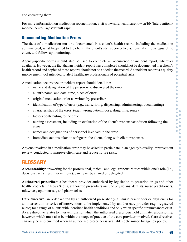and correcting them.

For more information on medication reconciliation, visit www.saferhealthcarenow.ca/EN/Interventions/ medrec\_acute/Pages/default.aspx.

#### Documenting Medication Errors

The facts of a medication must be documented in a client's health record, including the medication administered, what happened to the client, the client's status, corrective actions taken to safeguard the client, and follow-up monitoring.

Agency-specific forms should also be used to complete an occurrence or incident report, wherever available. However, the fact that an incident report was completed should not be documented in a client's health record and copies of these reports should not be added to the record. An incident report is a quality improvement tool intended to alert healthcare professionals of potential risks.

A medication occurrence or incident report should detail the:

- hame and designation of the person who discovered the error
- client's name, and date, time, place of error
- original medication order as written by prescriber
- identification of type of error (e.g., transcribing, dispensing, administering, documenting)
- characteristics of the error (e.g., wrong patient, dose, drug, time, route)
- factors contributing to the error
- nursing assessment, including an evaluation of the client's response/condition following the error
- names and designations of personnel involved in the error
- immediate actions taken to safeguard the client, along with client responses.

Anyone involved in a medication error may be asked to participate in an agency's quality improvement review, conducted to improve client care and reduce future risks.

# GLOSSARY

**Accountability**: answering for the professional, ethical, and legal responsibilities within one's role (i.e., decisions, activities, interventions): can never be shared or delegated.

**Authorized prescriber**: a healthcare provider authorized by legislation to prescribe drugs and other health products. In Nova Scotia, authorized prescribers include physicians, dentists, nurse practitioners, midwives, optometrists, and pharmacists.

**Care directive**: an order written by an authorized prescriber (e.g., nurse practitioner or physician) for an intervention or series of interventions to be implemented by another care provider (e.g., registered nurse) for a range of clients with identified health conditions and only when specific circumstances exist. A care directive relates to interventions for which the authorized prescribers hold ultimate responsibility, however, which must also be within the scope of practice of the care provider involved. Care directives can only be implemented when an authorized prescriber is available (determined by agency policy).

O O O

C Ò Ö C Ċ Ċ Ō

 $\bullet$ Ċ  $\bullet$ 

Ċ Ċ Ō  $\Box$ Ò  $\bullet$  $\bigcirc$  $\Box$  $\blacksquare$  $\bullet$ Ō Ō ò  $\bullet$ ö  $\bullet$  $\bullet$ Ċ  $\bullet$  $\bullet$ G  $\overline{\phantom{a}}$ × C  $\bullet$  $\bullet$ ö  $\bullet$  $\bullet$ Ċ  $\overline{\phantom{a}}$ ó  $\bullet$  $\bullet$  $\bullet$  $\triangle$  $\bullet$  $\bullet$ Ō Ċ  $\bullet$  $\bullet$  $\bullet$  $\bullet$  $\bullet$  $\bullet$  $\bullet$  $\bullet$  $\bullet$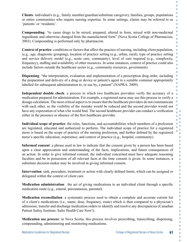**Clients**: individual/s (e.g., family member/guardian/substitute caregiver), families, groups, populations or entire communities who require nursing expertise. In some settings, clients may be referred to as 'patients' or 'residents'.

**Compounding**: "to cause drugs to be mixed, prepared, altered in form, mixed with non-medicinal ingredients and otherwise changed from the manufactured form" (Nova Scotia College of Pharmacists, 2003). Compounding is performed only by pharmacists.

**Context of practice**: conditions or factors that affect the practice of nursing, including client population, (e.g., age, diagnostic grouping), location of practice setting (e.g., urban, rural), type of practice setting and service delivery model (e.g., acute care, community), level of care required (e.g., complexity, frequency), staffing and availability of other resources. In some instances, context of practice could also include factors outside the healthcare sector (e.g., community resources, government).

**Dispensing**: "the interpretation, evaluation and implementation of a prescription drug order, including the preparation and delivery of a drug or device or patient's agent in a suitable container appropriately labelled for subsequent administration to, or use by, a patient" (NAPRA, 2009).

**Independent double check**: a process in which two healthcare providers verify the accuracy of a medication prepared for administration. For example, a registered nurse may use this process to verify a dosage calculation. The most critical aspect is to ensure that the healthcare providers do not communicate with each other, so the visibility of the mistake would be reduced and the second provider would not have any expectation of what s/he would find. The second healthcare provider can conduct a verification either in the presence or absence of the first healthcare provider.

**Individual scope of practice**: the roles, functions, and accountabilities which members of a profession are legislated, educated and authorized to perform. The individual scope of practice for a registered nurse is based on the scope of practice of the nursing profession, and further defined by the registered nurse's specific education, experience, and context of practice (e.g., hospital, community).

**Informed consent**: a phrase used in law to indicate that the consent given by a person has been based upon a clear appreciation and understanding of the facts, implications, and future consequences of an action. In order to give informed consent, the individual concerned must have adequate reasoning faculties and be in possession of all relevant facts at the time consent is given. In some instances, a substitute decision-maker may be involved in giving informed consent.

**Intervention**: task, procedure, treatment or action with clearly defined limits, which can be assigned or delegated within the context of client care.

**Medication administration**: the act of giving medications to an individual client through a specific medication route (e.g., enteral, percutaneous, parental).

**Medication reconciliation**: a systematic process used to obtain a complete and accurate current list of a client's medications (i.e., name, dose, frequency, route) which is then compared to a physician's admission, transfer and discharge medication orders to identify and resolve any discrepancies (Canadian Patient Safety Institute; Safer Health Care Now!).

**Medication use process**: in Nova Scotia, this process involves prescribing, transcribing, dispensing, compounding, administering and monitoring medications.

Ċ  $\bullet$  $\bullet$ 

Ō  $\bullet$  $\bullet$ 

 $\bullet$  $\bullet$ ö

ó  $\bullet$  $\bullet$  $\bullet$ 

Ċ  $\bullet$ 

 $\bullet$ Ō Ċ Ċ ä

> $\bullet$  $\bullet$  $\bullet$  $\bullet$  $\bullet$  $\bullet$ Ċ ö  $\bullet$  $\bullet$  $\bullet$  $\bullet$  $\bullet$  $\bullet$  $\bullet$  $\bullet$  $\bullet$  $\bullet$  $\bullet$  $\bullet$ Ċ  $\bullet$  $\bullet$  $\bullet$  $\bullet$  $\bullet$  $\bullet$  $\overline{\mathbb{C}}$  $\bullet$  $\bullet$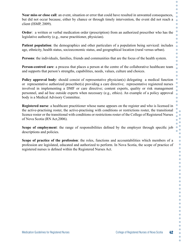**Near miss or close call**: an event, situation or error that could have resulted in unwanted consequences, but did not occur because, either by chance or through timely intervention, the event did not reach a client (ISMP, 2009).

**Order**: a written or verbal medication order (prescription) from an authorized prescriber who has the legislative authority (e.g., nurse practitioner, physician).

**Patient population**: the demographics and other particulars of a population being serviced: includes age, ethnicity, health status, socioeconomic status, and geographical location (rural versus urban).

**Persons**: the individuals, families, friends and communities that are the focus of the health system.

**Person-centred care**: a process that places a person at the centre of the collaborative healthcare team and supports that person's strengths, capabilities, needs, values, culture and choices.

**Policy approval body**: should consist of representative physician(s) delegating a medical function or representative authorized prescriber(s) providing a care directive; representative registered nurses involved in implementing a DMF or care directive; content experts, quality or risk management personnel, and ad hoc outside experts when necessary (e.g., ethics). An example of a policy approval body is a Medical Advisory Committee.

**Registered nurse**: a healthcare practitioner whose name appears on the register and who is licensed in the active-practising roster, the active-practising with conditions or restrictions roster, the transitional licence roster or the transitional with conditions or restrictions roster of the College of Registered Nurses of Nova Scotia (RN Act,2006).

**Scope of employment**: the range of responsibilities defined by the employer through specific job descriptions and policies.

**Scope of practice of the profession**: the roles, functions and accountabilities which members of a profession are legislated, educated and authorized to perform. In Nova Scotia, the scope of practice of registered nurses is defined within the Registered Nurses Act.

Ċ  $\bullet$  $\bullet$ 

Ċ C  $\bullet$ 

Ċ  $\bullet$ Ċ ö Ċ Ċ Ō

Ċ Ċ  $\bullet$ 

Ċ  $\bullet$ Ò  $\bullet$ 

> ö ö Ŏ  $\bullet$ C  $\bullet$  $\bullet$  $\bullet$  $\bullet$  $\bullet$ ö  $\bullet$  $\bullet$ Ċ  $\bullet$ ó C  $\bullet$  $\bullet$ ó ó  $\bullet$ O Ċ  $\bullet$  $\bullet$  $\bullet$  $\bullet$  $\bullet$  $\bullet$ Ċ  $\bullet$  $\bullet$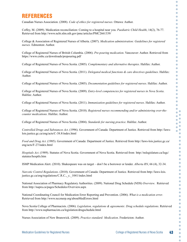# REFERENCES

Canadian Nurses Association. (2008). *Code of ethics for registered nurses*. Ottawa: Author.

Coffey, M. (2009). Medication reconciliation: Coming to a hospital near you. *Paediatric Child Health*, 14(2), 76-77. Retrieved from http://www.ncbi.nlm.nih.gov/pmc/articles/PMC2661339/

College & Association of Registered Nurses of Alberta. (2007). *Medication administration: Guidelines for registered nurses.* Edmonton: Author.

College of Registered Nurses of British Columbia. (2006). *Pre-pouring medication*. Vancouver: Author. Retrieved from https://www.crnbc.ca/downloads/prepouring.pdf

College of Registered Nurses of Nova Scotia. (2005). *Complementary and alternative therapies*. Halifax: Author.

College of Registered Nurses of Nova Scotia. (2011). *Delegated medical functions & care directives guidelines*. Halifax: Author.

College of Registered Nurses of Nova Scotia. (2005). *Documentation guidelines for registered nurses*. Halifax: Author.

College of Registered Nurses of Nova Scotia. (2009). *Entry-level competencies for registered nurses in Nova Scotia*. Halifax: Author.

College of Registered Nurses of Nova Scotia. (2011). *Immunization guidelines for registered nurses*. Halifax: Author.

College of Registered Nurses of Nova Scotia. (2010). *Registered nurses recommending and/or administering over-thecounter medications*. Halifax: Author.

College of Registered Nurses of Nova Scotia. (2004). *Standards for nursing practice*. Halifax: Author.

*Controlled Drugs and Substances Act*. (1996). Government of Canada: Department of Justice. Retrieved from http://lawslois.justice.gc.ca/eng/acts/C-38.8/index.html

*Food and Drug Act*. (1985). Government of Canada: Department of Justice. Retrieved from http://laws-lois.justice.gc.ca/ eng/acts/F-27/index.html

*Hospitals Act*. (1989). Statutes of Nova Scotia. Government of Nova Scotia. Retrieved from http://nslegislature.ca/legc/ statutes/hosptls.htm

ISMP Medication Alert. (2010). Shakespeare was on target – don't be a borrower or lender. *Alberta RN*, 66 (4), 32-34.

*Narcotic Control Regulations*. (2010). Government of Canada: Department of Justice. Retrieved from http://laws-lois. justice.gc.ca/eng/regulations/C.R.C., c. 1041/index.html

National Association of Pharmacy Regulatory Authorities. (2009). National Drug Schedule (NDS) *Overview*. Retrieved from http://napra.ca/pages/Schedules/Overview.aspx

National Coordinating Council for Medication Error Reporting and Prevention. (2006). *What is a medication error*. Retrieved from http://www.nccmerp.org/aboutMedErrors.html

Nova Scotia College of Pharmacists. (2006). *Legislation, regulations & agreements: Drug schedule regulations*. Retrieved from http://www.nspharmacists.ca/legislation/drugschedule.html

Nurses Association of New Brunswick. (2009). *Practice standard: Medication*. Fredericton: Author.

O O O Ċ  $\bullet$  $\bullet$  $\bullet$  $\Box$ Ŏ  $\bullet$ Ċ  $\bullet$  $\bullet$ ö Ċ  $\bullet$  $\bullet$ ó  $\bullet$  $\bullet$  $\bullet$  $\bullet$  $\bullet$  $\Box$  $\bullet$  $\bullet$  $\Box$  $\bullet$  $\bullet$ Ō Ō ò  $\bullet$ ö  $\bullet$ Ŏ  $\bullet$  $\bullet$  $\bullet$ C  $\bullet$  $\bullet$ ó  $\bullet$  $\bullet$ Ō  $\bullet$  $\bullet$  $\bullet$  $\bullet$ ó  $\bullet$  $\bullet$  $\bullet$  $\triangle$  $\bullet$  $\bullet$  $\overline{\phantom{a}}$  $\bullet$  $\bullet$  $\bullet$  $\bullet$  $\bullet$  $\bullet$  $\bullet$  $\bullet$  $\bullet$  $\bullet$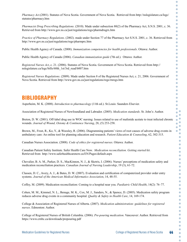*Pharmacy Act*.(2001). Statutes of Nova Scotia. Government of Nova Scotia. Retrieved from http://nslegislature.ca/legc/ statutes/pharmacy.htm

*Pharmacist Drug Prescribing Regulations*. (2010). Made under subsection 80(2) of the Pharmacy Act, S.N.S. 2001, c. 36. Retrieved from http://www.gov.ns.ca/just/regulations/regs/pharmdrugrx.htm

*Practice of Pharmacy Regulations*. (2002). made under Section 77 of the Pharmacy Act S.N.S. 2001, c. 36. Retrieved from http://www.gov.ns.ca/just/regulations/regs/pharmprc.htm

Public Health Agency of Canada. (2008). *Immunization competencies for health professionals*. Ottawa: Author.

Public Health Agency of Canada (2006). *Canadian immunization guide* (7th ed.). Ottawa: Author.

*Registered Nurses Act*, c. 21. (2006). Statutes of Nova Scotia. Government of Nova Scotia. Retrieved from http:// nslegislature.ca/legc/bills/60th\_1st/3rd\_read/b007.htm

*Registered Nurses Regulations*. (2009). Made under Section 8 of the Registered Nurses Act, c. 21, 2006. Government of Nova Scotia. Retrieved from http://www.gov.ns.ca/just/regulations/regs/rnregs.htm

# BIBLIOGRAPHY

Asperheim, M. K. (2008). *Introduction to pharmacology* (11th ed.). St.Louis: Saunders Elsevier.

Association of Registered Nurses of Newfoundland and Labrador. (2005). *Medication standards*. St. John's: Author.

Breton, D. W. (2001). Off-label drug use in WOC nursing: Issues related to use of mafenide acetate to treat infected chronic wounds. *Journal of Wound, Ostomy & Continence Nursing*, 28, (5) 253-258.

Brown, M., Frost, R., Ko, Y., & Woosley, R. (2006). Diagramming patients' views of root causes of adverse drug events in ambulatory care: An online tool for planning education and research. *Patient Education & Counseling*, 62, 302-315.

Canadian Nurses Association. (2008). *Code of ethics for registered nurses*. Ottawa: Author.

Canadian Patient Safety Institute. Safer Health Care Now. *Medication reconciliation. Getting started kit*. Retrieved from http://www.saferhealthcarenow.ca/EN/Pages/default.aspx

Chevalier, B. A. M., Parker, D. S., MacKinnon, N. J., & Sketris, I. (2006). Nurses' perceptions of medication safety and medication reconciliation practices. *Canadian Journal of Nursing Leadership*, 19 (3), 61-72.

Classen, D. C., Avery, A. J., & Bates, D. W. (2007). Evaluation and certification of computerized provider order entry systems. *Journal of the American Medical Informatics Association*, 14, 48-55.

Coffey, M. (2009). Medication reconciliation: Coming to a hospital near you. *Paediatric Child Health*, 14(2): 76–77.

Cohen, M. M., Kimmel, N. L., Benage, M. K., Cox, M. J., Sanders, N., & Spence, D. (2005). Medication safety program reduces adverse drug events in a community hospital. *Quality & Safety in Health Care*, 14, 169-174.

College & Association of Registered Nurses of Alberta. (2007). *Medication administration: guidelines for registered nurses*. Edmonton: Author.

College of Registered Nurses of British Columbia. (2006). *Pre-pouring medication*. Vancouver: Author. Retrieved from https://www.crnbc.ca/downloads/prepouring.pdf

Ċ  $\bullet$  $\bullet$  $\bullet$  $\bullet$  $\bullet$  $\bullet$ Ċ Ċ  $\bullet$ ó  $\bullet$  $\Box$ ö  $\bullet$  $\bullet$ Ō ó  $\overline{\phantom{0}}$  $\bullet$  $\bullet$ Ō  $\Box$ ó  $\bullet$  $\bullet$  $\Box$  $\blacksquare$  $\bullet$ Ō C

ò ó  $\bullet$  $\bullet$ Ŏ  $\bullet$ C Ō  $\overline{\phantom{a}}$ ó  $\bullet$  $\bullet$ Ō  $\bullet$  $\bullet$  $\bullet$  $\bullet$ ó  $\bullet$  $\bullet$  $\bullet$ ó ó  $\bullet$  $\overline{\phantom{a}}$  $\bullet$  $\bullet$  $\bullet$  $\bullet$  $\bullet$  $\bullet$  $\bullet$  $\bullet$  $\bullet$  $\bullet$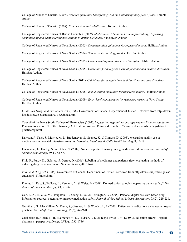$\bullet$ 

College of Nurses of Ontario. (2008). *Practice guideline: Disagreeing with the multidisciplinary plan of care*. Toronto: Author.

College of Nurses of Ontario. (2008). *Practice standard: Medication*. Toronto: Author.

College of Registered Nurses of British Columbia. (2009). *Medications: The nurse's role in prescribing, dispensing, compounding and administering medications in British Columbia*. Vancouver: Author.

College of Registered Nurses of Nova Scotia. (2005). *Documentation guidelines for registered nurses*. Halifax: Author.

College of Registered Nurses of Nova Scotia. (2004). *Standards for nursing practice*. Halifax: Author.

College of Registered Nurses of Nova Scotia. (2005). *Complementary and alternative therapies*. Halifax: Author.

College of Registered Nurses of Nova Scotia. (2005). *Guidelines for delegated medical functions and medical directives*. Halifax: Author.

College of Registered Nurses of Nova Scotia (2011). *Guidelines for delegated medical functions and care directives*. Halifax: Author.

College of Registered Nurses of Nova Scotia. (2008). *Immunization guidelines for registered nurses*. Halifax: Author.

College of Registered Nurses of Nova Scotia. (2009). *Entry-level competencies for registered nurses in Nova Scotia*. Halifax: Author.

*Controlled Drugs and Substances Act*. (1996). Government of Canada: Department of Justice. Retrieved from http://lawslois.justice.gc.ca/eng/acts/C-38.8/index.html

Council of the Nova Scotia College of Pharmacists (2003). *Legislation, regulations and agreements: Practice regulations*. Pursuant to section 77 of the Pharmacy Act. Halifax: Author. Retrieved from http://www.nspharmacists.ca/legislation/ practicereg.html

Dawson, J., Nash, J., Morritt, M. L., Bredemeyer, S., Spence, K., & Kinross, D. (2005). Measuring quality use of medications in neonatal intensive care units. *Neonatal, Paediatric & Child Health Nursing*, 8, 12-18.

Eisenhauer, L., Hurley, N., & Dolan, N. (2007). Nurses' reported thinking during medication administration. *Journal of Nursing Scholarship*, 39(1), 82-87.

Filik, R., Purdy, K., Gale, A., & Gerrett, D. (2006). Labeling of medicines and patient safety: evaluating methods of reducing drug name confusion. *Human Factors*, 48, 39-47.

*Food and Drug Act*. (1985). Government of Canada: Department of Justice. Retrieved from http://laws-lois.justice.gc.ca/ eng/acts/F-27/index.html

Franks, A., Ray, S., Wallace, L., Keenum, A., & Weiss, B. (2009). Do medication samples jeopardize patient safety? *The Annals of Pharmacotherapy*, 43, 51-56.

Galt, K. A., Rule, A. M., Houghton, B., Young, D. O., & Remington, G. (2005). Personal digital assistant-based drug information sources: potential to improve medication safety. *Journal of the Medical Library Association*, 93(2), 229-236.

Grantham, G., MacMillian, V., Dunn, S., Gassner, L., & Woodcock, P. (2006). Patient self-medication- a change in hospital practice. *Journal of Clinical Nursing*, 15(2), 962-970.

Guchelaar, H., Colen, H. B., Kalmeijer, M. D., Hudson, P. T., & Teepe-Twiss, I. M. (2005).Medication errors: Hospital pharmacist perspective. *Drugs*, 65(13), 1735-1746.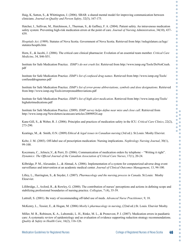$\bullet$ 

Ċ

Haig, K, Sutton, S., & Whittington, J. (2006). SBAR: a shared mental model for improving communication between clinicians. *Journal on Quality and Person Safety*, 32(3), 167-175.

Hatcher, I., Sullivan, M., Hutchinson, J., Thurman, S., & Gaffney, F. A. (2004). Patient safety. An intravenous medication safety system: Preventing high-risk medication errors at the point of care. *Journal of Nursing Administration*, 34(10), 437- 439.

*Hospitals Act*. (1989). Statutes of Nova Scotia. Government of Nova Scotia. Retrieved from http://nslegislature.ca/legc/ statutes/hosptls.htm

Horn, E., & Jacobi, J. (2006). The critical care clinical pharmacist: Evolution of an essential team member. *Critical Care Medicine*, 34, S46-S51.

Institute for Safe Medication Practice. *ISMP's do not crush list*. Retrieved from http://www.ismp.org/Tools/DoNotCrush. pdf

Institute for Safe Medication Practice. *ISMP's list of confused drug names*. Retrieved from http://www.ismp.org/Tools/ confuseddrugnames.pdf

Institute for Safe Medication Practice. *ISMP's list of error-prone abbreviations, symbols and dose designations*. Retrieved from http://www.ismp.org/Tools/errorproneabbreviations.pdf

Institute for Safe Medication Practice. *ISMP's list of high-alert medication*. Retrieved from http://www.ismp.org/Tools/ highalertmedications.pdf

Institute for Safe Medication Practice. (2009). *ISMP survey helps define near miss and close call*. Retrieved from http://www.ismp.org/Newsletters/acutecare/articles/20090924.asp

Kane-Gill, S., & Weber, R. J. (2006). Principles and practices of medication safety in the ICU. *Critical Care Clinics*, 22(2), 273-290.

Keatings, M., & Smith, O.N. (2009) *Ethical & legal issues in Canadian nursing* (3rd ed.). St.Louis: Mosby Elsevier.

Keltz, J. M. (2003). Off-label use of prescription medication: Nursing implications. *Nephrology Nursing Journal*, 30(1), 99-100.

Koczmara, C., Jelincic,V., & Perri, D. (2006). Communication of medication orders by telephone – "Writing it right". *Dynamics: The Official Journal of the Canadian Association of Critical Care Nurses*, 17(1), 20-24.

Kilbridge, P. M., Alexander, L., & Ahmad, A. (2006). Implementation of a system for computerized adverse drug event surveillance and intervention at an academic medical center. *Journal of Clinical Outcomes Management*, 13, 94-100.

Lilley, L., Harrington, S., & Snyder, J. (2007). *Pharmacology and the nursing process in Canada*. St.Louis: Mosby Elesevier.

Lillibridge, J., Axford, R., & Rowley, G. (2000). The contribution of nurses' perceptions and actions in defining scope and stabilizing professional boundaries of nursing practice. *Collegian*, 7 (4), 35-39.

Luttrull, S. (2001). Be wary of recommending off-label use of meds. *Advanced Nurse Practitioner*, 9, 18.

McKenry, L., Tessier, E., & Hogan, M. (2006) *Mosby's pharmacology in nursing*, (22nd ed.).St. Louis. Elsevier Mosby.

Miller, M. R., Robinson, K. A., Lubomski, L. H., Rinke, M. L., & Pronovost, P. J. (2007). Medication errors in paediatric care: A systematic review of epidemiology and an evaluation of evidence supporting reduction strategy recommendations. *Quality & Safety in Health Care*, 16(2), 116-126.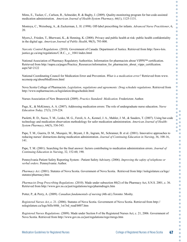Mims, E., Tucker, C., Carlson, R., Schneider, R. & Bagby, J. (2009). Quality-monitoring program for bar-code-assisted medication administration. *American Journal of Health-System Pharmacy*, 66(1), 1125-1131.

Montoya, C., Weissburg, A., & Zuckerman, L. H. (1998). Off-label prescribing for infants. *Advanced Nurse Practitioner*, 6, 20.

Myers,J., Frieden, T., Bherwani, K., & Henning, K. (2008). Privacy and public health at risk: public health confidentiality in the digital age. *American Journal of Public Health*, 98(5), 793-800.

*Narcotic Control Regulations*. (2010). Government of Canada: Department of Justice. Retrieved from http://laws-lois. justice.gc.ca/eng/regulations/C.R.C., c. 1041/index.html

National Association of Pharmacy Regulatory Authorities. Information for pharmacists about VIPPS™ certification. Retrieved from http://napra.ca/pages/Practice\_Resources/information\_for\_pharmacists\_about\_vipps\_certification.  $a$ spx? $id=2122$ 

National Coordinating Council for Medication Error and Prevention. *What is a medication error?* Retrieved from www. nccmerp.org/aboutMedErrors.html

Nova Scotia College of Pharmacists. *Legislation, regulations and agreements: Drug schedule regulations*. Retrieved from http://www.nspharmacists.ca/legislation/drugschedule.html

Nurses Association of New Brunswick (2009). *Practice Standard: Medication*. Fredericton: Author.

Page, K., & McKinney, A. A. (2007). Addressing medication errors: The role of undergraduate nurse education. *Nurse Education Today,* 27(3), 219-224.

Paoletti, R. D., Suess, T. M., Lesko, M. G., Feroli, A. A., Kennel, J. A., Mahler, J. M., & Sauders, T. (2007). Using bar-code technology and medication observation methodology for safer medication administration. *American Journal of Health-System Pharmacy*, 64(5), 536-543.

Pape, T. M., Guerra, D. M., Muzquiz, M., Bryant, J. B., Ingram, M., Schranner, B. et al. (2001). Innovative approaches to reducing nurses' distractions during medication administration. *Journal of Continuing Education in Nursing*, 36, 108-16, 141.

Pape, T. M. (2001). Searching for the final answer: factors contributing to medication administration errors. *Journal of Continuing Education in Nursing*, 32, 152-60, 190.

Pennsylvania Patient Safety Reporting System - Patient Safety Advisory. (2006). *Improving the safety of telephone or verbal orders*. Pennsylvania: Author.

*Pharmacy Act*. (2001). Statutes of Nova Scotia. Government of Nova Scotia. Retrieved from http://nslegislature.ca/legc/ statutes/pharmacy.htm

*Pharmacist Drug Prescribing Regulations*. (2010). Made under subsection 80(2) of the Pharmacy Act, S.N.S. 2001, c. 36. Retrieved from http://www.gov.ns.ca/just/regulations/regs/pharmdrugrx.htm

Potter, P., & Perry, A. (2009). *Canadian fundamentals of nursing* (4th ed.).Toronto: Mosby.

*Registered Nurses Act*, c. 21. (2006). Statutes of Nova Scotia. Government of Nova Scotia. Retrieved from http:// nslegislature.ca/legc/bills/60th\_1st/3rd\_read/b007.htm

*Registered Nurses Regulations*. (2009). Made under Section 8 of the Registered Nurses Act, c. 21, 2006. Government of Nova Scotia. Retrieved from http://www.gov.ns.ca/just/regulations/regs/rnregs.htm

Ċ  $\bullet$  $\bullet$ Ċ Ċ  $\bullet$  $\bullet$ ó Ċ  $\bullet$  $\bullet$ Ō  $\bullet$ ö Ċ  $\bullet$ Ō C Ċ Ō Ċ Ō  $\bullet$  $\bullet$  $\bullet$  $\bullet$  $\Box$  $\bullet$  $\bullet$ Ō  $\bullet$ ò

 $\bullet$ Ŏ  $\bullet$  $\ddot{\phantom{a}}$ Ō  $\bullet$ C  $\bullet$  $\overline{\phantom{a}}$ ó  $\bullet$  $\bullet$ ö  $\bullet$  $\bullet$  $\bullet$  $\bullet$ ó  $\bullet$  $\bullet$  $\bullet$ ó ó  $\bullet$  $\bullet$ Ċ  $\bullet$  $\bullet$  $\bullet$  $\bullet$  $\bullet$  $\bullet$  $\bullet$  $\bullet$  $\bullet$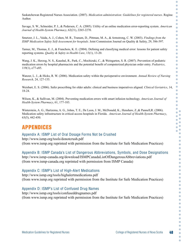Saskatchewan Registered Nurses Association. (2007). *Medication administration: Guidelines for registered nurses*. Regina: Author.

Savage, S. W., Schneider, P. J., & Pedersen, C. A. (2005). Utility of an online medication error-reporting system. *American Journal of Health-System Pharmacy*, 62(21), 2265-2270.

Smetzer, J. L., Vaida, A. J., Cohen, M. R., Tranum, D., Pittman, M. A., & Armstrong, C. W. (2003). *Findings from the ISMP Medication Safety Self-Assessment for hospitals*. Joint Commission Journal on Quality & Safety, 29, 586-597.

Tamuz, M., Thomas, E. J., & Franchois, K. E. (2004). Defining and classifying medical error: lessons for patient safety reporting systems. *Quality & Safety in Health Care*, 13(1), 13-20.

Wang, J. K., Herzog, N. S., Kaushal, R., Park, C., Mochizuki, C., & Weingarten, S. R. (2007). Prevention of pediatric medication errors by hospital pharmacists and the potential benefit of computerized physician order entry. *Pediatrics*, 119(1), e77-e85.

Wanzer, L. J., & Hicks, R. W. (2006). Medication safety within the perioperative environment. *Annual Review of Nursing Research,* 24, 127-155.

Weisbart, E. S. (2006). Safer prescribing for older adults: clinical and business imperatives aligned. *Clinical Geriatrics*, 14, 18-24.

Wilson, K., & Sullivan, M. (2004). Preventing medication errors with smart infusion technology. *American Journal of Health-System Pharmacy*, 61, 177-183.

Winterstein, A. G., Hartzema, A. G., Johns, T. E., De Leon, J. M., McDonald, K., Henshaw, Z.,& Pannell,R. (2006). Medication safety infrastructure in critical-access hospitals in Florida. *American Journal of Health-System Pharmacy*, 63(5), 442-450.

# APPENDICES

#### Appendix A: ISMP List of Oral Dosage Forms Not be Crushed

http://www.ismp.org/tools/donotcrush.pdf (from www.ismp.org reprinted with permission from the Institute for Safe Medication Practices)

Appendix B: ISMP Canada's List of Dangerous Abbreviations, Symbols, and Dose Designations

http://www.ismp-canada.org/download/ISMPCanadaListOfDangerousAbbreviations.pdf (from www.ismp-canada.org reprinted with permission from ISMP Canada)

#### Appendix C: ISMP's List of High-Alert Medications

http://www.ismp.org/tools/highalertmedications.pdf (from www.ismp.org reprinted with permission from the Institute for Safe Medication Practices)

#### Appendix D: ISMP's List of Confused Drug Names

http://www.ismp.org/tools/confuseddrugnames.pdf (from www.ismp.org reprinted with permission from the Institute for Safe Medication Practices) Ċ  $\bullet$ Ċ

 $\bullet$ Ō Ċ Ċ  $\bullet$  $\bullet$  $\bullet$  $\Box$  $\overline{\phantom{0}}$  $\bullet$  $\bullet$  $\bullet$ ó  $\overline{\phantom{0}}$  $\bullet$  $\bullet$  $\bullet$  $\bullet$  $\bullet$  $\bullet$  $\bullet$  $\Box$  $\overline{\phantom{0}}$  $\bullet$  $\bullet$ Ċ  $\bullet$  $\bullet$  $\bullet$ ö  $\bullet$ Ŏ  $\bullet$  $\bullet$ Ō  $\bullet$ G  $\bullet$  $\overline{\phantom{a}}$ ó  $\bullet$  $\bullet$ ö  $\bullet$  $\bullet$  $\bullet$  $\bullet$ ó C  $\bullet$  $\bullet$  $\triangle$ ×  $\bullet$ O  $\bullet$  $\bullet$  $\bullet$  $\bullet$  $\bullet$  $\bullet$  $\bullet$  $\bullet$  $\bullet$  $\bullet$